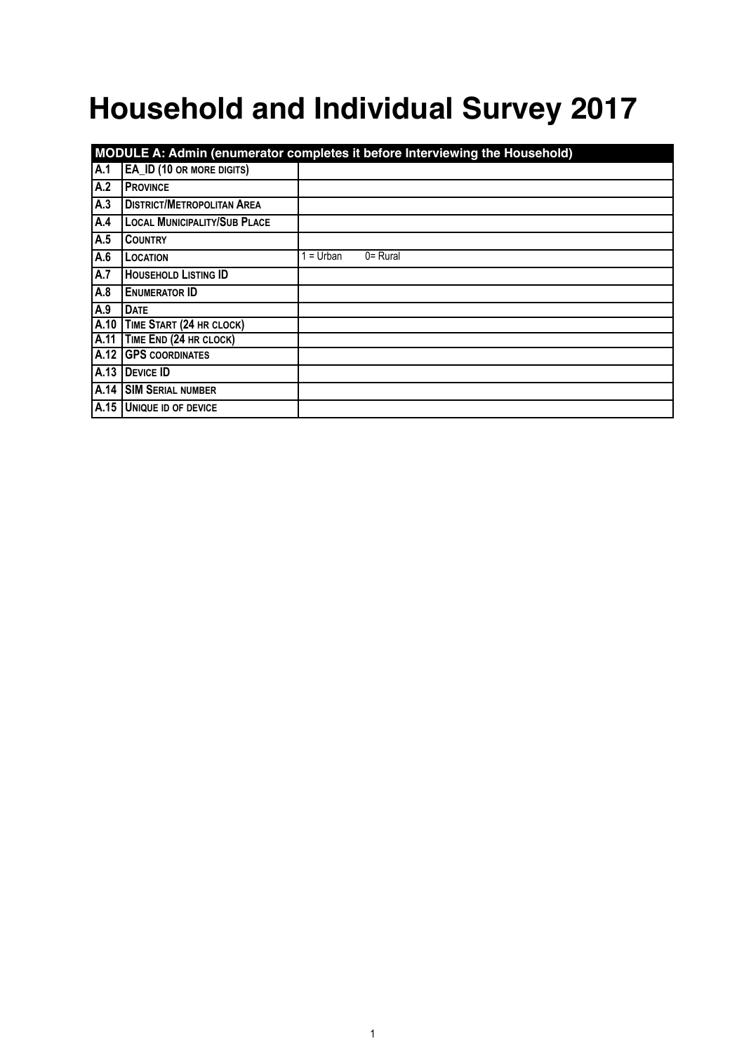# **Household and Individual Survey 2017**

|      | MODULE A: Admin (enumerator completes it before Interviewing the Household) |           |             |  |  |
|------|-----------------------------------------------------------------------------|-----------|-------------|--|--|
| A.1  | EA_ID (10 OR MORE DIGITS)                                                   |           |             |  |  |
| A.2  | <b>PROVINCE</b>                                                             |           |             |  |  |
| A.3  | <b>DISTRICT/METROPOLITAN AREA</b>                                           |           |             |  |  |
| A.4  | <b>LOCAL MUNICIPALITY/SUB PLACE</b>                                         |           |             |  |  |
| A.5  | <b>COUNTRY</b>                                                              |           |             |  |  |
| A.6  | LOCATION                                                                    | $=$ Urban | $0 =$ Rural |  |  |
| A.7  | <b>HOUSEHOLD LISTING ID</b>                                                 |           |             |  |  |
| A.8  | <b>ENUMERATOR ID</b>                                                        |           |             |  |  |
| A.9  | <b>DATE</b>                                                                 |           |             |  |  |
| A.10 | TIME START (24 HR CLOCK)                                                    |           |             |  |  |
| A.11 | TIME END (24 HR CLOCK)                                                      |           |             |  |  |
|      | A.12 GPS COORDINATES                                                        |           |             |  |  |
| A.13 | DEVICE ID                                                                   |           |             |  |  |
| A.14 | <b>SIM SERIAL NUMBER</b>                                                    |           |             |  |  |
|      | A.15 UNIQUE ID OF DEVICE                                                    |           |             |  |  |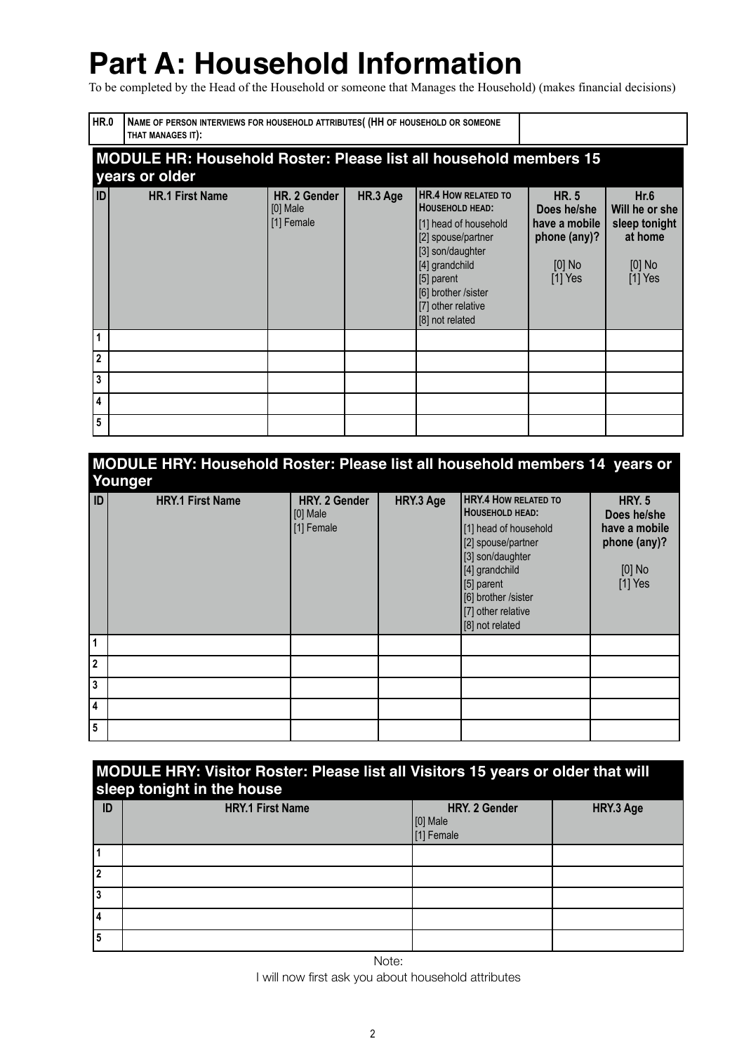## **Part A: Household Information**

To be completed by the Head of the Household or someone that Manages the Household) (makes financial decisions)

| HR.0           | THAT MANAGES IT):                                                                          | NAME OF PERSON INTERVIEWS FOR HOUSEHOLD ATTRIBUTES (HH OF HOUSEHOLD OR SOMEONE |          |                                                                                                                                                                                                                         |                                                                                       |                                                                             |
|----------------|--------------------------------------------------------------------------------------------|--------------------------------------------------------------------------------|----------|-------------------------------------------------------------------------------------------------------------------------------------------------------------------------------------------------------------------------|---------------------------------------------------------------------------------------|-----------------------------------------------------------------------------|
|                | <b>MODULE HR: Household Roster: Please list all household members 15</b><br>years or older |                                                                                |          |                                                                                                                                                                                                                         |                                                                                       |                                                                             |
| 1D             | <b>HR.1 First Name</b>                                                                     | HR. 2 Gender<br>$[0]$ Male<br>[1] Female                                       | HR.3 Age | <b>HR.4 HOW RELATED TO</b><br><b>HOUSEHOLD HEAD:</b><br>[1] head of household<br>[2] spouse/partner<br>[3] son/daughter<br>[4] grandchild<br>[5] parent<br>[6] brother /sister<br>[7] other relative<br>[8] not related | <b>HR. 5</b><br>Does he/she<br>have a mobile<br>phone (any)?<br>$[0]$ No<br>$[1]$ Yes | Hr.6<br>Will he or she<br>sleep tonight<br>at home<br>$[0]$ No<br>$[1]$ Yes |
|                |                                                                                            |                                                                                |          |                                                                                                                                                                                                                         |                                                                                       |                                                                             |
| $\overline{2}$ |                                                                                            |                                                                                |          |                                                                                                                                                                                                                         |                                                                                       |                                                                             |
| 3              |                                                                                            |                                                                                |          |                                                                                                                                                                                                                         |                                                                                       |                                                                             |
| 4              |                                                                                            |                                                                                |          |                                                                                                                                                                                                                         |                                                                                       |                                                                             |
| 5              |                                                                                            |                                                                                |          |                                                                                                                                                                                                                         |                                                                                       |                                                                             |

| MODULE HRY: Household Roster: Please list all household members 14 years or |  |
|-----------------------------------------------------------------------------|--|
| Younger                                                                     |  |

| ID <sup>1</sup> | ÷.<br><b>HRY.1 First Name</b> | HRY. 2 Gender<br>[0] Male<br>[1] Female | HRY.3 Age | <b>HRY.4 HOW RELATED TO</b><br><b>HOUSEHOLD HEAD:</b><br>[1] head of household<br>[2] spouse/partner<br>[3] son/daughter<br>[4] grandchild<br>[5] parent<br>[6] brother /sister<br>[7] other relative<br>[8] not related | <b>HRY. 5</b><br>Does he/she<br>have a mobile<br>phone (any)?<br>$[0]$ No<br>$[1]$ Yes |
|-----------------|-------------------------------|-----------------------------------------|-----------|--------------------------------------------------------------------------------------------------------------------------------------------------------------------------------------------------------------------------|----------------------------------------------------------------------------------------|
| l 1             |                               |                                         |           |                                                                                                                                                                                                                          |                                                                                        |
| 2               |                               |                                         |           |                                                                                                                                                                                                                          |                                                                                        |
| 3               |                               |                                         |           |                                                                                                                                                                                                                          |                                                                                        |
| 14              |                               |                                         |           |                                                                                                                                                                                                                          |                                                                                        |
| 5               |                               |                                         |           |                                                                                                                                                                                                                          |                                                                                        |

### **MODULE HRY: Visitor Roster: Please list all Visitors 15 years or older that will sleep tonight in the house**

| ID | -<br><b>HRY.1 First Name</b> | HRY. 2 Gender<br>$[0]$ Male<br>$[1]$ Female | HRY.3 Age |
|----|------------------------------|---------------------------------------------|-----------|
|    |                              |                                             |           |
|    |                              |                                             |           |
| 3  |                              |                                             |           |
| 4  |                              |                                             |           |
| 5  |                              |                                             |           |

Note:

I will now first ask you about household attributes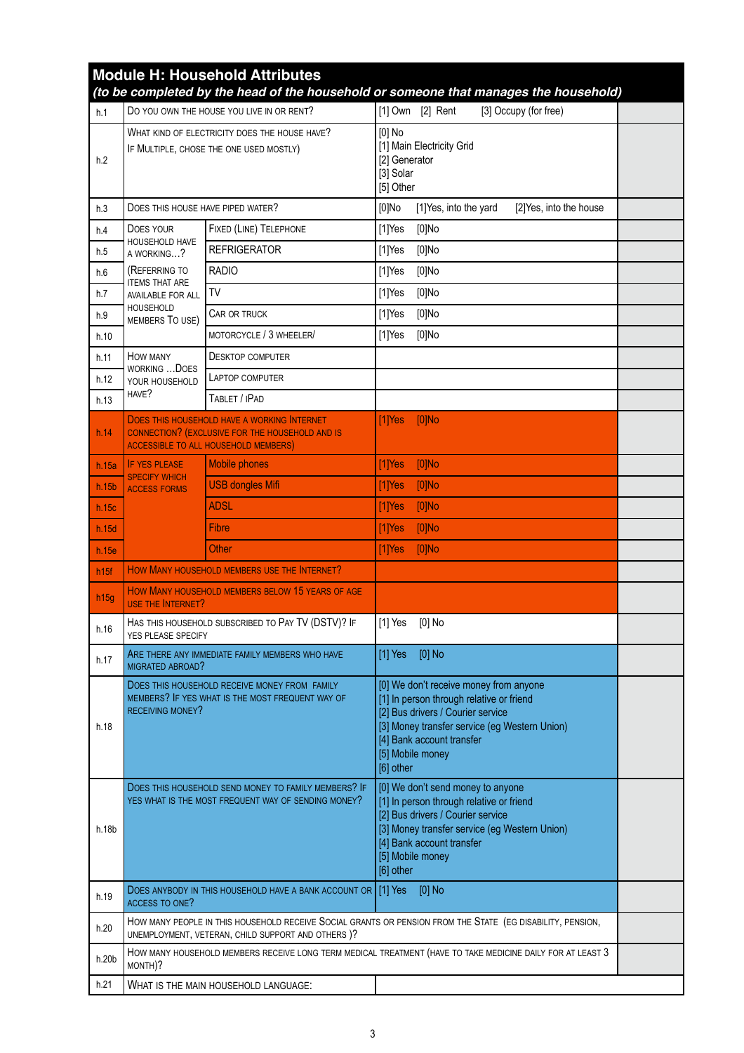|                  | <b>Module H: Household Attributes</b><br>(to be completed by the head of the household or someone that manages the household) |                                                                                                                                                                  |                                                     |                                                                                                                                                 |                                                                                         |  |
|------------------|-------------------------------------------------------------------------------------------------------------------------------|------------------------------------------------------------------------------------------------------------------------------------------------------------------|-----------------------------------------------------|-------------------------------------------------------------------------------------------------------------------------------------------------|-----------------------------------------------------------------------------------------|--|
| h.1              |                                                                                                                               | DO YOU OWN THE HOUSE YOU LIVE IN OR RENT?                                                                                                                        |                                                     | [1] Own [2] Rent                                                                                                                                | [3] Occupy (for free)                                                                   |  |
| h.2              |                                                                                                                               | WHAT KIND OF ELECTRICITY DOES THE HOUSE HAVE?<br>IF MULTIPLE, CHOSE THE ONE USED MOSTLY)                                                                         | $[0]$ No<br>[2] Generator<br>[3] Solar<br>[5] Other | [1] Main Electricity Grid                                                                                                                       |                                                                                         |  |
| h.3              | DOES THIS HOUSE HAVE PIPED WATER?                                                                                             |                                                                                                                                                                  | $[0]$ No                                            | [1]Yes, into the yard                                                                                                                           | [2]Yes, into the house                                                                  |  |
| h.4              | DOES YOUR                                                                                                                     | FIXED (LINE) TELEPHONE                                                                                                                                           | $[1]$ Yes                                           | $[0]$ No                                                                                                                                        |                                                                                         |  |
| h.5              | HOUSEHOLD HAVE<br>A WORKING?                                                                                                  | <b>REFRIGERATOR</b>                                                                                                                                              | $[1]$ Yes                                           | $[0]$ No                                                                                                                                        |                                                                                         |  |
| h.6              | (REFERRING TO                                                                                                                 | <b>RADIO</b>                                                                                                                                                     | $[1]$ Yes                                           | $[0]$ No                                                                                                                                        |                                                                                         |  |
| h.7              | <b>ITEMS THAT ARE</b><br><b>AVAILABLE FOR ALL</b>                                                                             | <b>TV</b>                                                                                                                                                        | $[1]$ Yes                                           | $[0]$ No                                                                                                                                        |                                                                                         |  |
| h.9              | <b>HOUSEHOLD</b><br>MEMBERS TO USE)                                                                                           | CAR OR TRUCK                                                                                                                                                     | $[1]$ Yes                                           | $[0]$ No                                                                                                                                        |                                                                                         |  |
| h.10             |                                                                                                                               | MOTORCYCLE / 3 WHEELER/                                                                                                                                          | $[1]$ Yes                                           | $[0]$ No                                                                                                                                        |                                                                                         |  |
| h.11             | HOW MANY                                                                                                                      | <b>DESKTOP COMPUTER</b>                                                                                                                                          |                                                     |                                                                                                                                                 |                                                                                         |  |
| h.12             | WORKING  DOES<br>YOUR HOUSEHOLD                                                                                               | LAPTOP COMPUTER                                                                                                                                                  |                                                     |                                                                                                                                                 |                                                                                         |  |
| h.13             | HAVE?                                                                                                                         | TABLET / IPAD                                                                                                                                                    |                                                     |                                                                                                                                                 |                                                                                         |  |
| h.14             |                                                                                                                               | <b>DOES THIS HOUSEHOLD HAVE A WORKING INTERNET</b><br><b>CONNECTION? (EXCLUSIVE FOR THE HOUSEHOLD AND IS</b><br><b>ACCESSIBLE TO ALL HOUSEHOLD MEMBERS)</b>      | $[1]$ Yes                                           | $[0]$ No                                                                                                                                        |                                                                                         |  |
| h.15a            | <b>IF YES PLEASE</b><br><b>SPECIFY WHICH</b>                                                                                  | <b>Mobile phones</b>                                                                                                                                             | $[1]$ Yes                                           | $[0]$ No                                                                                                                                        |                                                                                         |  |
| h.15b            | <b>ACCESS FORMS</b>                                                                                                           | <b>USB dongles Mifi</b>                                                                                                                                          | $[1]$ Yes                                           | $[0]$ No                                                                                                                                        |                                                                                         |  |
| h.15c            |                                                                                                                               | ADSL                                                                                                                                                             | $[1]$ Yes                                           | $[0]$ No                                                                                                                                        |                                                                                         |  |
| h.15d            |                                                                                                                               | <b>Fibre</b>                                                                                                                                                     | $[1]$ Yes                                           | $[0]$ No                                                                                                                                        |                                                                                         |  |
| h.15e            |                                                                                                                               | Other                                                                                                                                                            | $[1]$ Yes                                           | $[0]$ No                                                                                                                                        |                                                                                         |  |
| h <sub>15f</sub> |                                                                                                                               | HOW MANY HOUSEHOLD MEMBERS USE THE INTERNET?                                                                                                                     |                                                     |                                                                                                                                                 |                                                                                         |  |
| h15g             | <b>USE THE INTERNET?</b>                                                                                                      | HOW MANY HOUSEHOLD MEMBERS BELOW 15 YEARS OF AGE                                                                                                                 |                                                     |                                                                                                                                                 |                                                                                         |  |
| h.16             | YES PLEASE SPECIFY                                                                                                            | HAS THIS HOUSEHOLD SUBSCRIBED TO PAY TV (DSTV)? IF                                                                                                               | [1] Yes                                             | [0] No                                                                                                                                          |                                                                                         |  |
| h.17             | MIGRATED ABROAD?                                                                                                              | ARE THERE ANY IMMEDIATE FAMILY MEMBERS WHO HAVE                                                                                                                  | $[1]$ Yes                                           | $[0]$ No                                                                                                                                        |                                                                                         |  |
| h.18             | DOES THIS HOUSEHOLD RECEIVE MONEY FROM FAMILY<br>MEMBERS? IF YES WHAT IS THE MOST FREQUENT WAY OF<br><b>RECEIVING MONEY?</b>  |                                                                                                                                                                  | [5] Mobile money<br>[6] other                       | [1] In person through relative or friend<br>[2] Bus drivers / Courier service<br>[4] Bank account transfer                                      | [0] We don't receive money from anyone<br>[3] Money transfer service (eg Western Union) |  |
| h.18b            | DOES THIS HOUSEHOLD SEND MONEY TO FAMILY MEMBERS? IF<br>YES WHAT IS THE MOST FREQUENT WAY OF SENDING MONEY?                   |                                                                                                                                                                  | [5] Mobile money<br>[6] other                       | [0] We don't send money to anyone<br>[1] In person through relative or friend<br>[2] Bus drivers / Courier service<br>[4] Bank account transfer | [3] Money transfer service (eg Western Union)                                           |  |
| h.19             | ACCESS TO ONE?                                                                                                                | DOES ANYBODY IN THIS HOUSEHOLD HAVE A BANK ACCOUNT OR 1[1] Yes                                                                                                   |                                                     | $[0]$ No                                                                                                                                        |                                                                                         |  |
| h.20             |                                                                                                                               | HOW MANY PEOPLE IN THIS HOUSEHOLD RECEIVE SOCIAL GRANTS OR PENSION FROM THE STATE (EG DISABILITY, PENSION,<br>UNEMPLOYMENT, VETERAN, CHILD SUPPORT AND OTHERS )? |                                                     |                                                                                                                                                 |                                                                                         |  |
| h.20b            | MONTH)?                                                                                                                       | HOW MANY HOUSEHOLD MEMBERS RECEIVE LONG TERM MEDICAL TREATMENT (HAVE TO TAKE MEDICINE DAILY FOR AT LEAST 3                                                       |                                                     |                                                                                                                                                 |                                                                                         |  |
| h.21             |                                                                                                                               | WHAT IS THE MAIN HOUSEHOLD LANGUAGE:                                                                                                                             |                                                     |                                                                                                                                                 |                                                                                         |  |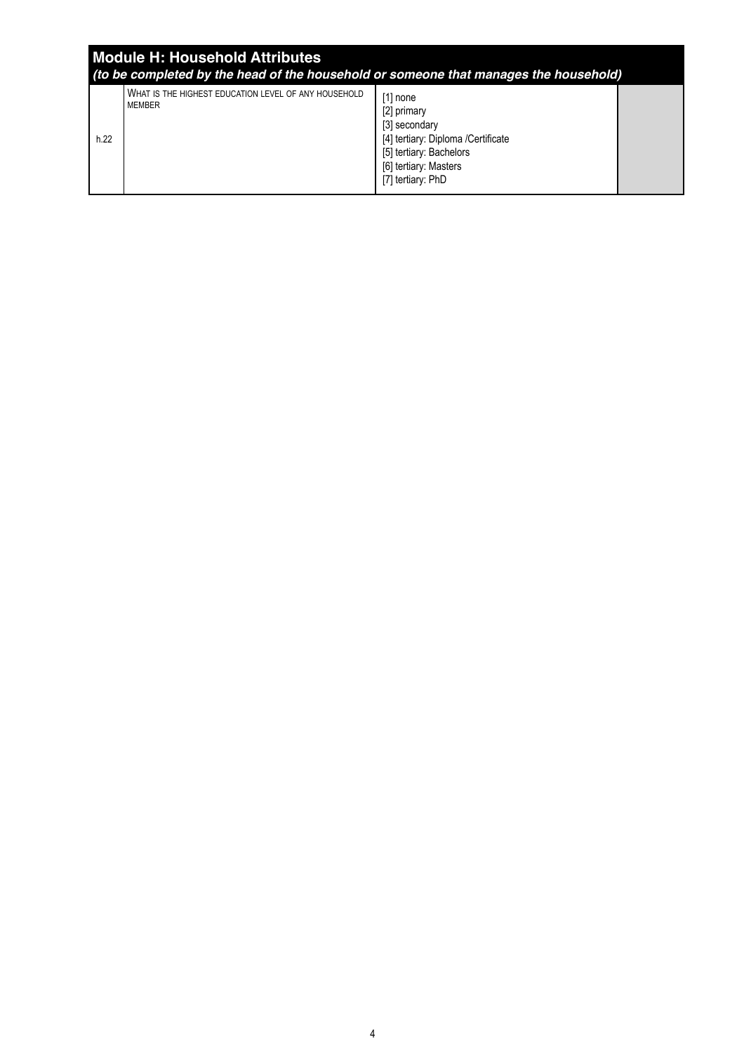| <b>Module H: Household Attributes</b><br>(to be completed by the head of the household or someone that manages the household) |                                                                       |                                                                                                                                                           |  |  |
|-------------------------------------------------------------------------------------------------------------------------------|-----------------------------------------------------------------------|-----------------------------------------------------------------------------------------------------------------------------------------------------------|--|--|
| h.22                                                                                                                          | WHAT IS THE HIGHEST EDUCATION LEVEL OF ANY HOUSEHOLD<br><b>MEMBER</b> | $[1]$ none<br>[2] primary<br>[3] secondary<br>[4] tertiary: Diploma /Certificate<br>[5] tertiary: Bachelors<br>[6] tertiary: Masters<br>[7] tertiary: PhD |  |  |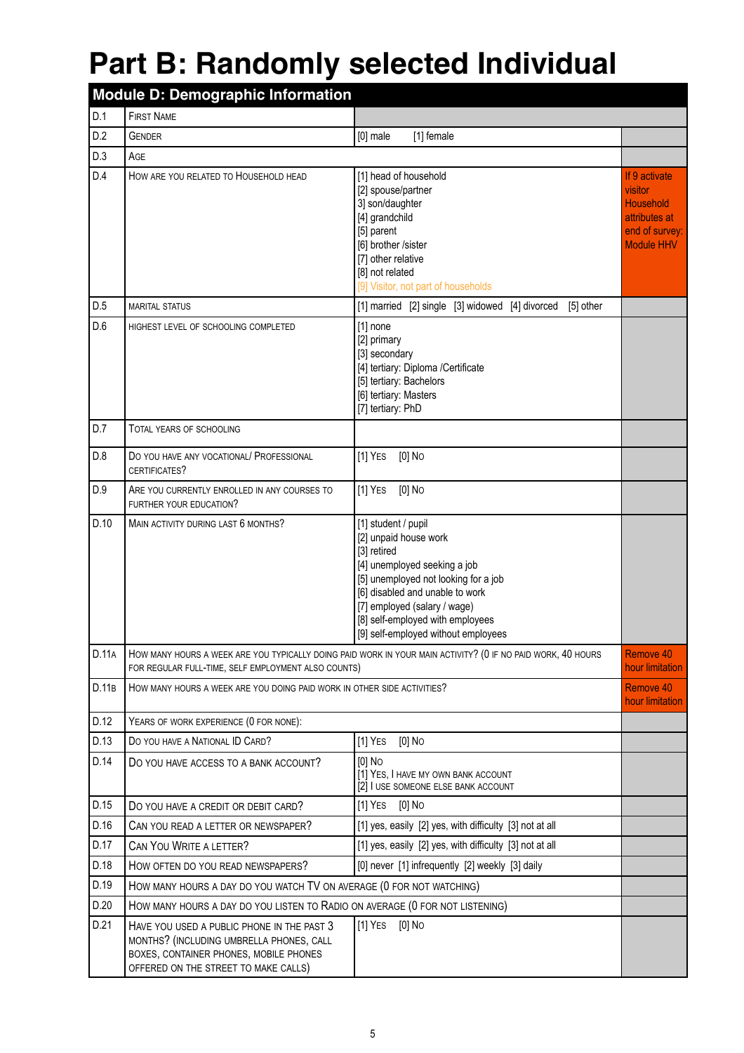## **Part B: Randomly selected Individual**

| <b>Module D: Demographic Information</b> |                                                                                                                                                                          |                                                                                                                                                                                                                                                                                   |                                                                                                      |  |  |
|------------------------------------------|--------------------------------------------------------------------------------------------------------------------------------------------------------------------------|-----------------------------------------------------------------------------------------------------------------------------------------------------------------------------------------------------------------------------------------------------------------------------------|------------------------------------------------------------------------------------------------------|--|--|
| D.1                                      | <b>FIRST NAME</b>                                                                                                                                                        |                                                                                                                                                                                                                                                                                   |                                                                                                      |  |  |
| D.2                                      | <b>GENDER</b>                                                                                                                                                            | $[0]$ male<br>[1] female                                                                                                                                                                                                                                                          |                                                                                                      |  |  |
| D.3                                      | AGE                                                                                                                                                                      |                                                                                                                                                                                                                                                                                   |                                                                                                      |  |  |
| D.4                                      | HOW ARE YOU RELATED TO HOUSEHOLD HEAD                                                                                                                                    | [1] head of household<br>[2] spouse/partner<br>3] son/daughter<br>[4] grandchild<br>[5] parent<br>[6] brother /sister<br>[7] other relative<br>[8] not related<br>[9] Visitor, not part of households                                                                             | If 9 activate<br>visitor<br><b>Household</b><br>attributes at<br>end of survey:<br><b>Module HHV</b> |  |  |
| D.5                                      | <b>MARITAL STATUS</b>                                                                                                                                                    | [1] married [2] single [3] widowed [4] divorced [5] other                                                                                                                                                                                                                         |                                                                                                      |  |  |
| D.6                                      | HIGHEST LEVEL OF SCHOOLING COMPLETED                                                                                                                                     | $[1]$ none<br>[2] primary<br>[3] secondary<br>[4] tertiary: Diploma /Certificate<br>[5] tertiary: Bachelors<br>[6] tertiary: Masters<br>[7] tertiary: PhD                                                                                                                         |                                                                                                      |  |  |
| D.7                                      | TOTAL YEARS OF SCHOOLING                                                                                                                                                 |                                                                                                                                                                                                                                                                                   |                                                                                                      |  |  |
| D.8                                      | DO YOU HAVE ANY VOCATIONAL/ PROFESSIONAL<br>CERTIFICATES?                                                                                                                | $[1]$ YES<br>$[0]$ No                                                                                                                                                                                                                                                             |                                                                                                      |  |  |
| D.9                                      | ARE YOU CURRENTLY ENROLLED IN ANY COURSES TO<br>FURTHER YOUR EDUCATION?                                                                                                  | $[1]$ YES<br>$[0]$ No                                                                                                                                                                                                                                                             |                                                                                                      |  |  |
| D.10                                     | MAIN ACTIVITY DURING LAST 6 MONTHS?                                                                                                                                      | [1] student / pupil<br>[2] unpaid house work<br>[3] retired<br>[4] unemployed seeking a job<br>[5] unemployed not looking for a job<br>[6] disabled and unable to work<br>[7] employed (salary / wage)<br>[8] self-employed with employees<br>[9] self-employed without employees |                                                                                                      |  |  |
| D.11A                                    | FOR REGULAR FULL-TIME, SELF EMPLOYMENT ALSO COUNTS)                                                                                                                      | HOW MANY HOURS A WEEK ARE YOU TYPICALLY DOING PAID WORK IN YOUR MAIN ACTIVITY? (0 IF NO PAID WORK, 40 HOURS                                                                                                                                                                       | Remove 40<br>hour limitation                                                                         |  |  |
| D.11B                                    | HOW MANY HOURS A WEEK ARE YOU DOING PAID WORK IN OTHER SIDE ACTIVITIES?                                                                                                  |                                                                                                                                                                                                                                                                                   | Remove 40<br>hour limitation                                                                         |  |  |
| D.12                                     | YEARS OF WORK EXPERIENCE (0 FOR NONE):                                                                                                                                   |                                                                                                                                                                                                                                                                                   |                                                                                                      |  |  |
| D.13                                     | DO YOU HAVE A NATIONAL ID CARD?                                                                                                                                          | $[0]$ No<br>$[1]$ YES                                                                                                                                                                                                                                                             |                                                                                                      |  |  |
| D.14                                     | DO YOU HAVE ACCESS TO A BANK ACCOUNT?                                                                                                                                    | $[0]$ No<br>[1] YES, I HAVE MY OWN BANK ACCOUNT<br>[2] I USE SOMEONE ELSE BANK ACCOUNT                                                                                                                                                                                            |                                                                                                      |  |  |
| D.15                                     | DO YOU HAVE A CREDIT OR DEBIT CARD?                                                                                                                                      | $[0]$ No<br>$[1]$ Yes                                                                                                                                                                                                                                                             |                                                                                                      |  |  |
| D.16                                     | CAN YOU READ A LETTER OR NEWSPAPER?                                                                                                                                      | [1] yes, easily [2] yes, with difficulty [3] not at all                                                                                                                                                                                                                           |                                                                                                      |  |  |
| D.17                                     | CAN YOU WRITE A LETTER?                                                                                                                                                  | [1] yes, easily [2] yes, with difficulty [3] not at all                                                                                                                                                                                                                           |                                                                                                      |  |  |
| D.18                                     | HOW OFTEN DO YOU READ NEWSPAPERS?                                                                                                                                        | [0] never [1] infrequently [2] weekly [3] daily                                                                                                                                                                                                                                   |                                                                                                      |  |  |
| D.19                                     | HOW MANY HOURS A DAY DO YOU WATCH TV ON AVERAGE (0 FOR NOT WATCHING)                                                                                                     |                                                                                                                                                                                                                                                                                   |                                                                                                      |  |  |
| D.20                                     | HOW MANY HOURS A DAY DO YOU LISTEN TO RADIO ON AVERAGE (0 FOR NOT LISTENING)                                                                                             |                                                                                                                                                                                                                                                                                   |                                                                                                      |  |  |
| D.21                                     | HAVE YOU USED A PUBLIC PHONE IN THE PAST 3<br>MONTHS? (INCLUDING UMBRELLA PHONES, CALL<br>BOXES, CONTAINER PHONES, MOBILE PHONES<br>OFFERED ON THE STREET TO MAKE CALLS) | $[1]$ YES<br>[0] No                                                                                                                                                                                                                                                               |                                                                                                      |  |  |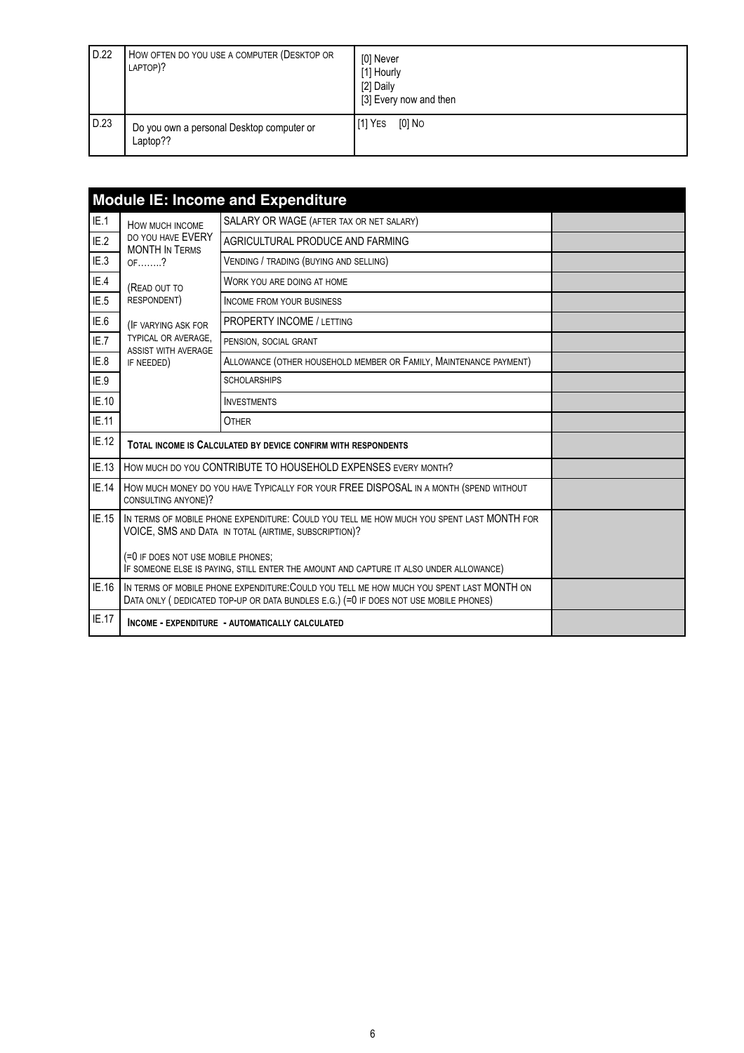| D.22 | HOW OFTEN DO YOU USE A COMPUTER (DESKTOP OR<br>LAPTOP)? | [0] Never<br>[1] Hourly<br>[2] Daily<br>[3] Every now and then |
|------|---------------------------------------------------------|----------------------------------------------------------------|
| D.23 | Do you own a personal Desktop computer or<br>Laptop??   | [0] No<br>II <sup>1</sup> ] Yes                                |

|       |                                                                                                                                                                                   | <b>Module IE: Income and Expenditure</b>                                                                                                           |  |  |  |
|-------|-----------------------------------------------------------------------------------------------------------------------------------------------------------------------------------|----------------------------------------------------------------------------------------------------------------------------------------------------|--|--|--|
| IE.1  | HOW MUCH INCOME                                                                                                                                                                   | SALARY OR WAGE (AFTER TAX OR NET SALARY)                                                                                                           |  |  |  |
| IE.2  | DO YOU HAVE EVERY<br><b>MONTH IN TERMS</b>                                                                                                                                        | AGRICULTURAL PRODUCE AND FARMING                                                                                                                   |  |  |  |
| IE.3  | $OF$ ?                                                                                                                                                                            | VENDING / TRADING (BUYING AND SELLING)                                                                                                             |  |  |  |
| IE.4  | (READ OUT TO                                                                                                                                                                      | WORK YOU ARE DOING AT HOME                                                                                                                         |  |  |  |
| IE.5  | RESPONDENT)                                                                                                                                                                       | <b>INCOME FROM YOUR BUSINESS</b>                                                                                                                   |  |  |  |
| IE.6  | (IF VARYING ASK FOR                                                                                                                                                               | <b>PROPERTY INCOME / LETTING</b>                                                                                                                   |  |  |  |
| IE.7  | TYPICAL OR AVERAGE,<br>ASSIST WITH AVERAGE                                                                                                                                        | PENSION, SOCIAL GRANT                                                                                                                              |  |  |  |
| IE.8  | IF NEEDED)                                                                                                                                                                        | ALLOWANCE (OTHER HOUSEHOLD MEMBER OR FAMILY, MAINTENANCE PAYMENT)                                                                                  |  |  |  |
| IE.9  |                                                                                                                                                                                   | <b>SCHOLARSHIPS</b>                                                                                                                                |  |  |  |
| IE.10 |                                                                                                                                                                                   | <b>INVESTMENTS</b>                                                                                                                                 |  |  |  |
| IE.11 |                                                                                                                                                                                   | <b>OTHER</b>                                                                                                                                       |  |  |  |
| IE.12 |                                                                                                                                                                                   | TOTAL INCOME IS CALCULATED BY DEVICE CONFIRM WITH RESPONDENTS                                                                                      |  |  |  |
| IE.13 |                                                                                                                                                                                   | HOW MUCH DO YOU CONTRIBUTE TO HOUSEHOLD EXPENSES EVERY MONTH?                                                                                      |  |  |  |
| IE.14 | CONSULTING ANYONE)?                                                                                                                                                               | HOW MUCH MONEY DO YOU HAVE TYPICALLY FOR YOUR FREE DISPOSAL IN A MONTH (SPEND WITHOUT                                                              |  |  |  |
| IE.15 |                                                                                                                                                                                   | IN TERMS OF MOBILE PHONE EXPENDITURE: COULD YOU TELL ME HOW MUCH YOU SPENT LAST MONTH FOR<br>VOICE, SMS AND DATA IN TOTAL (AIRTIME, SUBSCRIPTION)? |  |  |  |
|       | (=0 IF DOES NOT USE MOBILE PHONES;<br>IF SOMEONE ELSE IS PAYING, STILL ENTER THE AMOUNT AND CAPTURE IT ALSO UNDER ALLOWANCE)                                                      |                                                                                                                                                    |  |  |  |
| IE.16 | IN TERMS OF MOBILE PHONE EXPENDITURE: COULD YOU TELL ME HOW MUCH YOU SPENT LAST MONTH ON<br>DATA ONLY ( DEDICATED TOP-UP OR DATA BUNDLES E.G.) (=0 IF DOES NOT USE MOBILE PHONES) |                                                                                                                                                    |  |  |  |
| IE.17 |                                                                                                                                                                                   | INCOME - EXPENDITURE - AUTOMATICALLY CALCULATED                                                                                                    |  |  |  |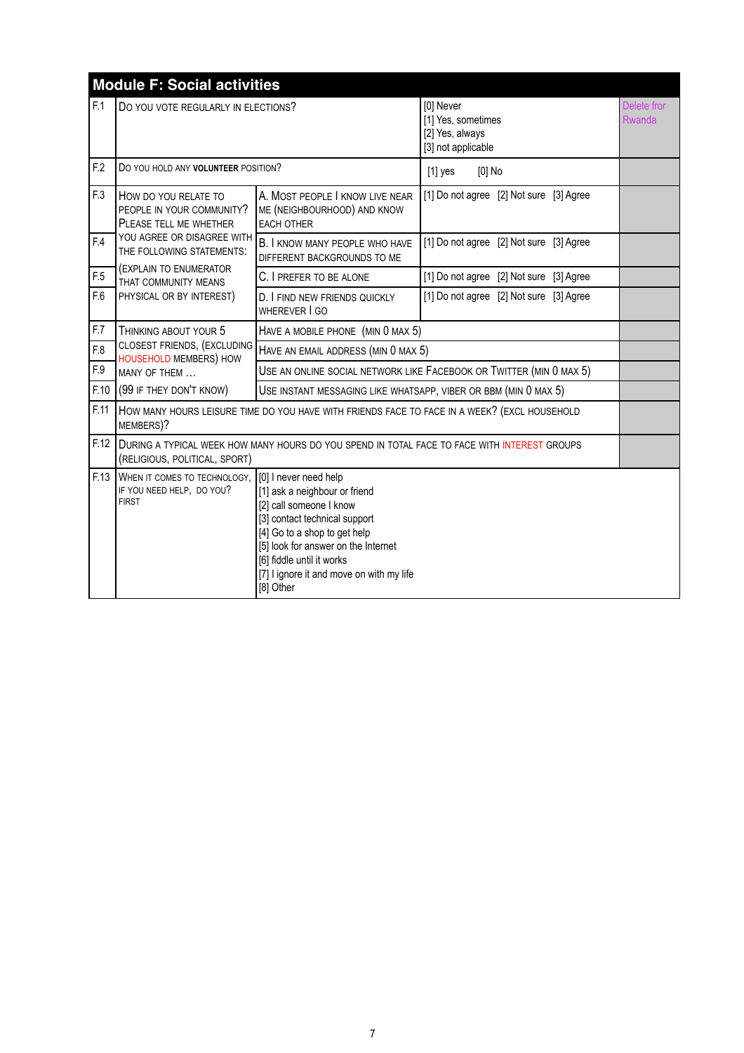|      | <b>Module F: Social activities</b>                                                                                                                                                                                                                                                                                                                           |                                                                                              |                                                                                              |                       |  |
|------|--------------------------------------------------------------------------------------------------------------------------------------------------------------------------------------------------------------------------------------------------------------------------------------------------------------------------------------------------------------|----------------------------------------------------------------------------------------------|----------------------------------------------------------------------------------------------|-----------------------|--|
| F.1  | DO YOU VOTE REGULARLY IN ELECTIONS?                                                                                                                                                                                                                                                                                                                          |                                                                                              | [0] Never<br>[1] Yes, sometimes<br>[2] Yes, always<br>[3] not applicable                     | Delete fror<br>Rwanda |  |
| F.2  | DO YOU HOLD ANY VOLUNTEER POSITION?                                                                                                                                                                                                                                                                                                                          |                                                                                              | $[0]$ No<br>$[1]$ yes                                                                        |                       |  |
| F.3  | HOW DO YOU RELATE TO<br>PEOPLE IN YOUR COMMUNITY?<br>PLEASE TELL ME WHETHER                                                                                                                                                                                                                                                                                  | A. MOST PEOPLE I KNOW LIVE NEAR<br>ME (NEIGHBOURHOOD) AND KNOW<br><b>EACH OTHER</b>          | [1] Do not agree [2] Not sure [3] Agree                                                      |                       |  |
| F.4  | YOU AGREE OR DISAGREE WITH<br>THE FOLLOWING STATEMENTS:                                                                                                                                                                                                                                                                                                      | B. I KNOW MANY PEOPLE WHO HAVE<br>DIFFERENT BACKGROUNDS TO ME                                | [1] Do not agree [2] Not sure [3] Agree                                                      |                       |  |
| F.5  | (EXPLAIN TO ENUMERATOR<br>THAT COMMUNITY MEANS                                                                                                                                                                                                                                                                                                               | C. I PREFER TO BE ALONE                                                                      | [1] Do not agree [2] Not sure [3] Agree                                                      |                       |  |
| F.6  | PHYSICAL OR BY INTEREST)                                                                                                                                                                                                                                                                                                                                     | D. FIND NEW FRIENDS QUICKLY<br>WHEREVER I GO                                                 | [1] Do not agree [2] Not sure [3] Agree                                                      |                       |  |
| F.7  | THINKING ABOUT YOUR 5                                                                                                                                                                                                                                                                                                                                        | HAVE A MOBILE PHONE (MIN 0 MAX 5)                                                            |                                                                                              |                       |  |
| F.8  | CLOSEST FRIENDS, (EXCLUDING<br><b>HOUSEHOLD MEMBERS) HOW</b>                                                                                                                                                                                                                                                                                                 | HAVE AN EMAIL ADDRESS (MIN 0 MAX 5)                                                          |                                                                                              |                       |  |
| F.9  | MANY OF THEM                                                                                                                                                                                                                                                                                                                                                 | USE AN ONLINE SOCIAL NETWORK LIKE FACEBOOK OR TWITTER (MIN 0 MAX 5)                          |                                                                                              |                       |  |
| F.10 | (99 IF THEY DON'T KNOW)                                                                                                                                                                                                                                                                                                                                      | USE INSTANT MESSAGING LIKE WHATSAPP, VIBER OR BBM (MIN 0 MAX 5)                              |                                                                                              |                       |  |
| F.11 | MEMBERS)?                                                                                                                                                                                                                                                                                                                                                    | HOW MANY HOURS LEISURE TIME DO YOU HAVE WITH FRIENDS FACE TO FACE IN A WEEK? (EXCL HOUSEHOLD |                                                                                              |                       |  |
| F.12 | (RELIGIOUS, POLITICAL, SPORT)                                                                                                                                                                                                                                                                                                                                |                                                                                              | DURING A TYPICAL WEEK HOW MANY HOURS DO YOU SPEND IN TOTAL FACE TO FACE WITH INTEREST GROUPS |                       |  |
| F.13 | WHEN IT COMES TO TECHNOLOGY,<br>[0] I never need help<br>IF YOU NEED HELP, DO YOU?<br>[1] ask a neighbour or friend<br><b>FIRST</b><br>[2] call someone I know<br>[3] contact technical support<br>[4] Go to a shop to get help<br>[5] look for answer on the Internet<br>[6] fiddle until it works<br>[7] I ignore it and move on with my life<br>[8] Other |                                                                                              |                                                                                              |                       |  |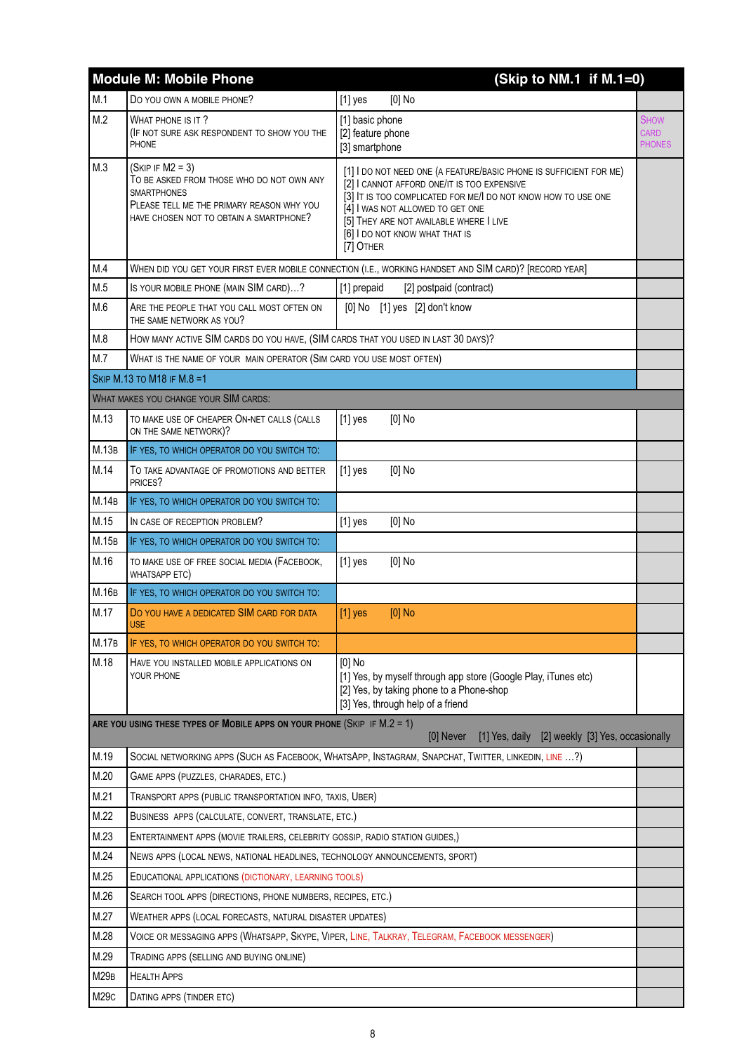|             | <b>Module M: Mobile Phone</b>                                                                                                                                                 | (Skip to NM.1 if M.1=0)                                                                                                                                                                                                                                                                                          |                                             |
|-------------|-------------------------------------------------------------------------------------------------------------------------------------------------------------------------------|------------------------------------------------------------------------------------------------------------------------------------------------------------------------------------------------------------------------------------------------------------------------------------------------------------------|---------------------------------------------|
| M.1         | DO YOU OWN A MOBILE PHONE?                                                                                                                                                    | $[1]$ yes<br>$[0]$ No                                                                                                                                                                                                                                                                                            |                                             |
| M.2         | WHAT PHONE IS IT?<br>(IF NOT SURE ASK RESPONDENT TO SHOW YOU THE<br><b>PHONE</b>                                                                                              | [1] basic phone<br>[2] feature phone<br>[3] smartphone                                                                                                                                                                                                                                                           | <b>SHOW</b><br><b>CARD</b><br><b>PHONES</b> |
| M.3         | $(SKIP IF M2 = 3)$<br>TO BE ASKED FROM THOSE WHO DO NOT OWN ANY<br><b>SMARTPHONES</b><br>PLEASE TELL ME THE PRIMARY REASON WHY YOU<br>HAVE CHOSEN NOT TO OBTAIN A SMARTPHONE? | [1] I DO NOT NEED ONE (A FEATURE/BASIC PHONE IS SUFFICIENT FOR ME)<br>[2] I CANNOT AFFORD ONE/IT IS TOO EXPENSIVE<br>[3] IT IS TOO COMPLICATED FOR ME/I DO NOT KNOW HOW TO USE ONE<br>[4] I WAS NOT ALLOWED TO GET ONE<br>[5] THEY ARE NOT AVAILABLE WHERE I LIVE<br>[6] I DO NOT KNOW WHAT THAT IS<br>[7] OTHER |                                             |
| M.4         |                                                                                                                                                                               | WHEN DID YOU GET YOUR FIRST EVER MOBILE CONNECTION (I.E., WORKING HANDSET AND SIM CARD)? [RECORD YEAR]                                                                                                                                                                                                           |                                             |
| M.5         | IS YOUR MOBILE PHONE (MAIN SIM CARD)?                                                                                                                                         | [1] prepaid<br>[2] postpaid (contract)                                                                                                                                                                                                                                                                           |                                             |
| M.6         | ARE THE PEOPLE THAT YOU CALL MOST OFTEN ON<br>THE SAME NETWORK AS YOU?                                                                                                        | [0] No [1] yes [2] don't know                                                                                                                                                                                                                                                                                    |                                             |
| M.8         | HOW MANY ACTIVE SIM CARDS DO YOU HAVE, (SIM CARDS THAT YOU USED IN LAST 30 DAYS)?                                                                                             |                                                                                                                                                                                                                                                                                                                  |                                             |
| M.7         | WHAT IS THE NAME OF YOUR MAIN OPERATOR (SIM CARD YOU USE MOST OFTEN)                                                                                                          |                                                                                                                                                                                                                                                                                                                  |                                             |
|             | SKIP M.13 TO M18 IF M.8 =1                                                                                                                                                    |                                                                                                                                                                                                                                                                                                                  |                                             |
|             | <b>WHAT MAKES YOU CHANGE YOUR SIM CARDS:</b>                                                                                                                                  |                                                                                                                                                                                                                                                                                                                  |                                             |
| M.13        | TO MAKE USE OF CHEAPER ON-NET CALLS (CALLS<br>ON THE SAME NETWORK)?                                                                                                           | $[1]$ yes<br>[0] No                                                                                                                                                                                                                                                                                              |                                             |
| M.13B       | IF YES, TO WHICH OPERATOR DO YOU SWITCH TO:                                                                                                                                   |                                                                                                                                                                                                                                                                                                                  |                                             |
| M.14        | TO TAKE ADVANTAGE OF PROMOTIONS AND BETTER<br>PRICES?                                                                                                                         | $[0]$ No<br>$[1]$ yes                                                                                                                                                                                                                                                                                            |                                             |
| M.14B       | IF YES, TO WHICH OPERATOR DO YOU SWITCH TO:                                                                                                                                   |                                                                                                                                                                                                                                                                                                                  |                                             |
| M.15        | IN CASE OF RECEPTION PROBLEM?                                                                                                                                                 | $[0]$ No<br>$[1]$ yes                                                                                                                                                                                                                                                                                            |                                             |
| M.15B       | IF YES, TO WHICH OPERATOR DO YOU SWITCH TO:                                                                                                                                   |                                                                                                                                                                                                                                                                                                                  |                                             |
| M.16        | TO MAKE USE OF FREE SOCIAL MEDIA (FACEBOOK,<br>WHATSAPP ETC)                                                                                                                  | $[1]$ yes<br>$[0]$ No                                                                                                                                                                                                                                                                                            |                                             |
| M.16B       | IF YES, TO WHICH OPERATOR DO YOU SWITCH TO:                                                                                                                                   |                                                                                                                                                                                                                                                                                                                  |                                             |
| M.17        | DO YOU HAVE A DEDICATED SIM CARD FOR DATA<br>USE                                                                                                                              | $[0]$ No<br>$[1]$ yes                                                                                                                                                                                                                                                                                            |                                             |
| M.17B       | IF YES, TO WHICH OPERATOR DO YOU SWITCH TO:                                                                                                                                   |                                                                                                                                                                                                                                                                                                                  |                                             |
| M.18        | HAVE YOU INSTALLED MOBILE APPLICATIONS ON<br>YOUR PHONE                                                                                                                       | $[0]$ No<br>[1] Yes, by myself through app store (Google Play, iTunes etc)<br>[2] Yes, by taking phone to a Phone-shop<br>[3] Yes, through help of a friend                                                                                                                                                      |                                             |
|             | ARE YOU USING THESE TYPES OF MOBILE APPS ON YOUR PHONE (SKIP IF M.2 = 1)                                                                                                      | [1] Yes, daily [2] weekly [3] Yes, occasionally<br>[0] Never                                                                                                                                                                                                                                                     |                                             |
| M.19        |                                                                                                                                                                               | SOCIAL NETWORKING APPS (SUCH AS FACEBOOK, WHATSAPP, INSTAGRAM, SNAPCHAT, TWITTER, LINKEDIN, LINE ?)                                                                                                                                                                                                              |                                             |
| M.20        | GAME APPS (PUZZLES, CHARADES, ETC.)                                                                                                                                           |                                                                                                                                                                                                                                                                                                                  |                                             |
| M.21        | TRANSPORT APPS (PUBLIC TRANSPORTATION INFO, TAXIS, UBER)                                                                                                                      |                                                                                                                                                                                                                                                                                                                  |                                             |
| M.22        | BUSINESS APPS (CALCULATE, CONVERT, TRANSLATE, ETC.)                                                                                                                           |                                                                                                                                                                                                                                                                                                                  |                                             |
| M.23        | ENTERTAINMENT APPS (MOVIE TRAILERS, CELEBRITY GOSSIP, RADIO STATION GUIDES,)                                                                                                  |                                                                                                                                                                                                                                                                                                                  |                                             |
| M.24        | NEWS APPS (LOCAL NEWS, NATIONAL HEADLINES, TECHNOLOGY ANNOUNCEMENTS, SPORT)                                                                                                   |                                                                                                                                                                                                                                                                                                                  |                                             |
| M.25        | EDUCATIONAL APPLICATIONS (DICTIONARY, LEARNING TOOLS)                                                                                                                         |                                                                                                                                                                                                                                                                                                                  |                                             |
| M.26        | SEARCH TOOL APPS (DIRECTIONS, PHONE NUMBERS, RECIPES, ETC.)                                                                                                                   |                                                                                                                                                                                                                                                                                                                  |                                             |
| M.27        | WEATHER APPS (LOCAL FORECASTS, NATURAL DISASTER UPDATES)                                                                                                                      |                                                                                                                                                                                                                                                                                                                  |                                             |
| M.28        |                                                                                                                                                                               | VOICE OR MESSAGING APPS (WHATSAPP, SKYPE, VIPER, LINE, TALKRAY, TELEGRAM, FACEBOOK MESSENGER)                                                                                                                                                                                                                    |                                             |
| M.29        | TRADING APPS (SELLING AND BUYING ONLINE)                                                                                                                                      |                                                                                                                                                                                                                                                                                                                  |                                             |
| <b>M29B</b> | <b>HEALTH APPS</b>                                                                                                                                                            |                                                                                                                                                                                                                                                                                                                  |                                             |
| M29c        | DATING APPS (TINDER ETC)                                                                                                                                                      |                                                                                                                                                                                                                                                                                                                  |                                             |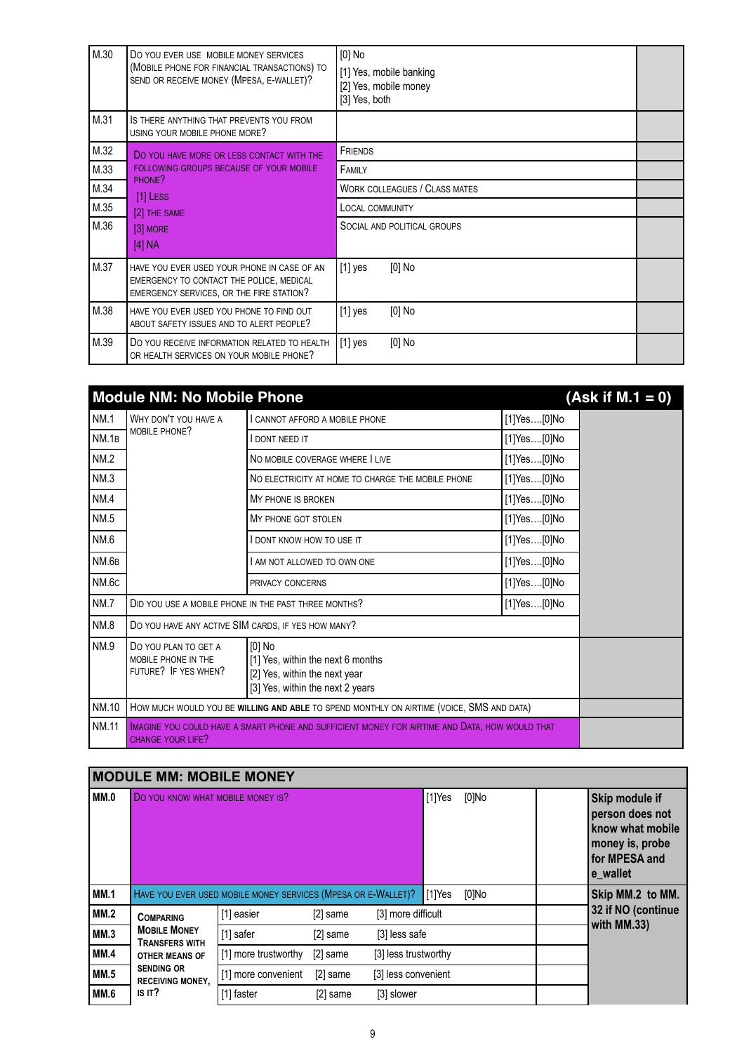| M.30 | DO YOU EVER USE MOBILE MONEY SERVICES<br>(MOBILE PHONE FOR FINANCIAL TRANSACTIONS) TO<br>SEND OR RECEIVE MONEY (MPESA, E-WALLET)?   | [0] No<br>[1] Yes, mobile banking<br>[2] Yes, mobile money<br>[3] Yes, both |  |
|------|-------------------------------------------------------------------------------------------------------------------------------------|-----------------------------------------------------------------------------|--|
| M.31 | IS THERE ANYTHING THAT PREVENTS YOU FROM<br>USING YOUR MOBILE PHONE MORE?                                                           |                                                                             |  |
| M.32 | DO YOU HAVE MORE OR LESS CONTACT WITH THE                                                                                           | <b>FRIENDS</b>                                                              |  |
| M.33 | FOLLOWING GROUPS BECAUSE OF YOUR MOBILE<br>PHONE?                                                                                   | FAMILY                                                                      |  |
| M.34 | $[1]$ Less                                                                                                                          | <b>WORK COLLEAGUES / CLASS MATES</b>                                        |  |
| M.35 | [2] THE SAME                                                                                                                        | <b>LOCAL COMMUNITY</b>                                                      |  |
| M.36 | $[3]$ MORE                                                                                                                          | SOCIAL AND POLITICAL GROUPS                                                 |  |
|      | [4] NA                                                                                                                              |                                                                             |  |
| M.37 | HAVE YOU EVER USED YOUR PHONE IN CASE OF AN<br>EMERGENCY TO CONTACT THE POLICE, MEDICAL<br>EMERGENCY SERVICES, OR THE FIRE STATION? | $[0]$ No<br>$[1]$ yes                                                       |  |
| M.38 | HAVE YOU EVER USED YOU PHONE TO FIND OUT<br>ABOUT SAFETY ISSUES AND TO ALERT PEOPLE?                                                | $[0]$ No<br>$[1]$ yes                                                       |  |
| M.39 | DO YOU RECEIVE INFORMATION RELATED TO HEALTH<br>OR HEALTH SERVICES ON YOUR MOBILE PHONE?                                            | $[0]$ No<br>$[1]$ yes                                                       |  |

|              | <b>Module NM: No Mobile Phone</b>                                   |                                                                                                                    |             | $(Ask if M.1 = 0)$ |
|--------------|---------------------------------------------------------------------|--------------------------------------------------------------------------------------------------------------------|-------------|--------------------|
| <b>NM.1</b>  | WHY DON'T YOU HAVE A                                                | I CANNOT AFFORD A MOBILE PHONE                                                                                     | [1]Yes[0]No |                    |
| NM.1B        | MOBILE PHONE?                                                       | <b>DONT NEED IT</b>                                                                                                | [1]Yes[0]No |                    |
| <b>NM.2</b>  |                                                                     | NO MOBILE COVERAGE WHERE I LIVE                                                                                    | [1]Yes[0]No |                    |
| NM.3         |                                                                     | NO ELECTRICITY AT HOME TO CHARGE THE MOBILE PHONE                                                                  | [1]Yes[0]No |                    |
| NM.4         |                                                                     | MY PHONE IS BROKEN                                                                                                 | [1]Yes[0]No |                    |
| NM.5         |                                                                     | MY PHONE GOT STOLEN                                                                                                | [1]Yes[0]No |                    |
| NM.6         |                                                                     | DONT KNOW HOW TO USE IT                                                                                            | [1]Yes[0]No |                    |
| NM.6B        |                                                                     | AM NOT ALLOWED TO OWN ONE                                                                                          | [1]Yes[0]No |                    |
| NM.6c        |                                                                     | PRIVACY CONCERNS                                                                                                   | [1]Yes[0]No |                    |
| <b>NM.7</b>  |                                                                     | DID YOU USE A MOBILE PHONE IN THE PAST THREE MONTHS?                                                               | [1]Yes[0]No |                    |
| NM.8         | DO YOU HAVE ANY ACTIVE SIM CARDS, IF YES HOW MANY?                  |                                                                                                                    |             |                    |
| <b>NM.9</b>  | DO YOU PLAN TO GET A<br>MOBILE PHONE IN THE<br>FUTURE? IF YES WHEN? | $[0]$ No<br>[1] Yes, within the next 6 months<br>[2] Yes, within the next year<br>[3] Yes, within the next 2 years |             |                    |
| NM.10        |                                                                     | HOW MUCH WOULD YOU BE WILLING AND ABLE TO SPEND MONTHLY ON AIRTIME (VOICE, SMS AND DATA)                           |             |                    |
| <b>NM.11</b> | <b>CHANGE YOUR LIFE?</b>                                            | IMAGINE YOU COULD HAVE A SMART PHONE AND SUFFICIENT MONEY FOR AIRTIME AND DATA, HOW WOULD THAT                     |             |                    |

#### **MODULE MM: MOBILE MONEY MM.0** DO YOU KNOW WHAT MOBILE MONEY IS? **In the state of the set of the set of skip module if**  $[1]$ **Yes**  $[0]$ **No <b>Skip module if person does not know what mobile money is, probe for MPESA and e\_wallet** MM.1 **HAVE YOU EVER USED MOBILE MONEY SERVICES (MPESA OR E-WALLET)?** [1]Yes [0]No **Skip MM.2 to MM. 32 if NO (continue with MM.33) MM.2 COMPARING MOBILE MONEY TRANSFERS WITH OTHER MEANS OF SENDING OR RECEIVING MONEY, IS IT?** [1] easier [2] same [3] more difficult **MM.3**  $\begin{bmatrix} \text{MOBILE MONEY} \\ - \end{bmatrix}$   $\begin{bmatrix} 1 \end{bmatrix}$  safer [2] same [3] less safe **MM.4 OTHER MEANS OF** [1] more trustworthy [2] same [3] less trustworthy **MM.5** SENDING OR [1] more convenient [2] same [3] less convenient **MM.6** IS IT? [1] faster [2] same [3] slower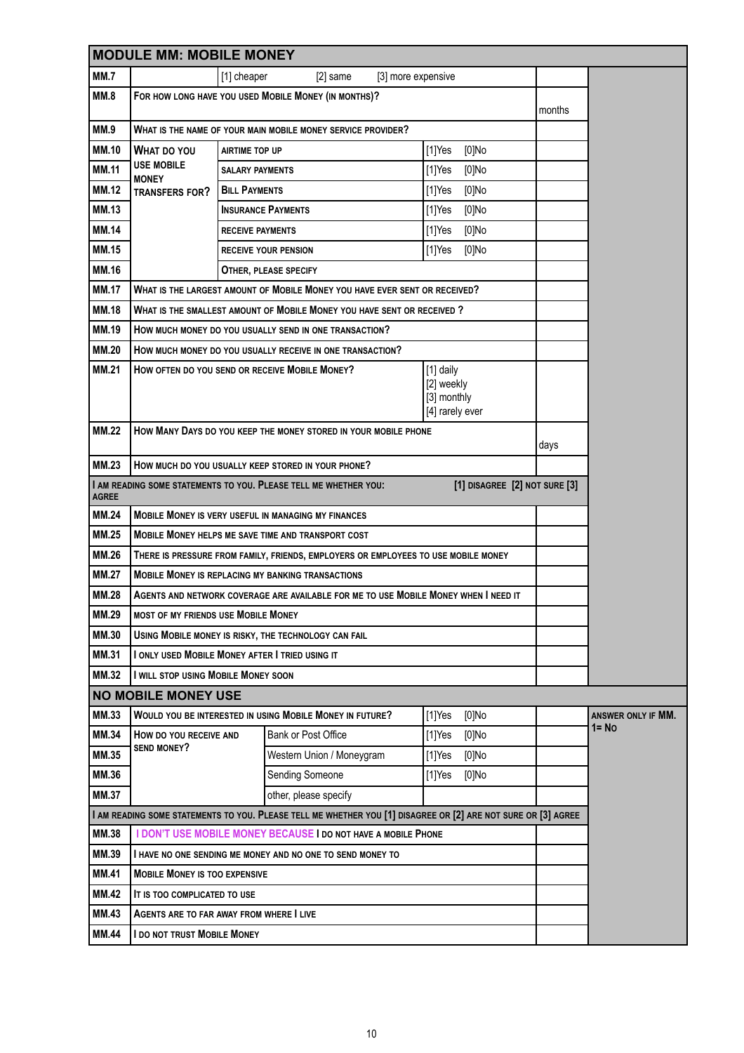|              | <b>MODULE MM: MOBILE MONEY</b>                                  |                         |                                                                                                               |                                                           |                               |        |                             |
|--------------|-----------------------------------------------------------------|-------------------------|---------------------------------------------------------------------------------------------------------------|-----------------------------------------------------------|-------------------------------|--------|-----------------------------|
| <b>MM.7</b>  |                                                                 | [1] cheaper             | $[2]$ same<br>[3] more expensive                                                                              |                                                           |                               |        |                             |
| <b>MM.8</b>  |                                                                 |                         | FOR HOW LONG HAVE YOU USED MOBILE MONEY (IN MONTHS)?                                                          |                                                           |                               | months |                             |
| MM.9         |                                                                 |                         | WHAT IS THE NAME OF YOUR MAIN MOBILE MONEY SERVICE PROVIDER?                                                  |                                                           |                               |        |                             |
| <b>MM.10</b> | <b>WHAT DO YOU</b>                                              | <b>AIRTIME TOP UP</b>   |                                                                                                               | $[1]$ Yes                                                 | $[0]$ No                      |        |                             |
| <b>MM.11</b> | <b>USE MOBILE</b><br><b>MONEY</b>                               | <b>SALARY PAYMENTS</b>  |                                                                                                               | $[1]$ Yes                                                 | $[0]$ No                      |        |                             |
| <b>MM.12</b> | TRANSFERS FOR?                                                  | <b>BILL PAYMENTS</b>    |                                                                                                               | $[1]$ Yes                                                 | $[0]$ No                      |        |                             |
| <b>MM.13</b> |                                                                 |                         | <b>INSURANCE PAYMENTS</b>                                                                                     | $[1]$ Yes                                                 | $[0]$ No                      |        |                             |
| <b>MM.14</b> |                                                                 | <b>RECEIVE PAYMENTS</b> |                                                                                                               | $[1]$ Yes                                                 | $[0]$ No                      |        |                             |
| <b>MM.15</b> |                                                                 |                         | <b>RECEIVE YOUR PENSION</b>                                                                                   | $[1]$ Yes                                                 | [0]No                         |        |                             |
| <b>MM.16</b> |                                                                 |                         | OTHER, PLEASE SPECIFY                                                                                         |                                                           |                               |        |                             |
| <b>MM.17</b> |                                                                 |                         | WHAT IS THE LARGEST AMOUNT OF MOBILE MONEY YOU HAVE EVER SENT OR RECEIVED?                                    |                                                           |                               |        |                             |
| <b>MM.18</b> |                                                                 |                         | WHAT IS THE SMALLEST AMOUNT OF MOBILE MONEY YOU HAVE SENT OR RECEIVED?                                        |                                                           |                               |        |                             |
| <b>MM.19</b> |                                                                 |                         | How much money do you usually send in one transaction?                                                        |                                                           |                               |        |                             |
| <b>MM.20</b> |                                                                 |                         | How much money do you usually receive in one transaction?                                                     |                                                           |                               |        |                             |
| <b>MM.21</b> |                                                                 |                         | HOW OFTEN DO YOU SEND OR RECEIVE MOBILE MONEY?                                                                | [1] daily<br>[2] weekly<br>[3] monthly<br>[4] rarely ever |                               |        |                             |
| <b>MM.22</b> | How Many Days do you keep the money stored in your mobile phone |                         |                                                                                                               |                                                           | days                          |        |                             |
| <b>MM.23</b> |                                                                 |                         | HOW MUCH DO YOU USUALLY KEEP STORED IN YOUR PHONE?                                                            |                                                           |                               |        |                             |
| <b>AGREE</b> |                                                                 |                         | I AM READING SOME STATEMENTS TO YOU. PLEASE TELL ME WHETHER YOU:                                              |                                                           | [1] DISAGREE [2] NOT SURE [3] |        |                             |
| <b>MM.24</b> |                                                                 |                         | MOBILE MONEY IS VERY USEFUL IN MANAGING MY FINANCES                                                           |                                                           |                               |        |                             |
| <b>MM.25</b> |                                                                 |                         | MOBILE MONEY HELPS ME SAVE TIME AND TRANSPORT COST                                                            |                                                           |                               |        |                             |
| <b>MM.26</b> |                                                                 |                         | THERE IS PRESSURE FROM FAMILY, FRIENDS, EMPLOYERS OR EMPLOYEES TO USE MOBILE MONEY                            |                                                           |                               |        |                             |
| <b>MM.27</b> |                                                                 |                         | <b>MOBILE MONEY IS REPLACING MY BANKING TRANSACTIONS</b>                                                      |                                                           |                               |        |                             |
| <b>MM.28</b> |                                                                 |                         | Agents and network coverage are available for me to use Mobile Money when I need it                           |                                                           |                               |        |                             |
| MM.29        | MOST OF MY FRIENDS USE MOBILE MONEY                             |                         |                                                                                                               |                                                           |                               |        |                             |
| <b>MM.30</b> |                                                                 |                         | USING MOBILE MONEY IS RISKY, THE TECHNOLOGY CAN FAIL                                                          |                                                           |                               |        |                             |
| MM.31        | I ONLY USED MOBILE MONEY AFTER I TRIED USING IT                 |                         |                                                                                                               |                                                           |                               |        |                             |
| <b>MM.32</b> | I WILL STOP USING MOBILE MONEY SOON                             |                         |                                                                                                               |                                                           |                               |        |                             |
|              | <b>NO MOBILE MONEY USE</b>                                      |                         |                                                                                                               |                                                           |                               |        |                             |
| MM.33        |                                                                 |                         | WOULD YOU BE INTERESTED IN USING MOBILE MONEY IN FUTURE?                                                      | $[1]$ Yes                                                 | $[0]$ No                      |        | ANSWER ONLY IF MM.<br>1= No |
| <b>MM.34</b> | HOW DO YOU RECEIVE AND<br><b>SEND MONEY?</b>                    |                         | Bank or Post Office                                                                                           | $[1]$ Yes                                                 | $[0]$ No                      |        |                             |
| <b>MM.35</b> |                                                                 |                         | Western Union / Moneygram                                                                                     | $[1]$ Yes                                                 | $[0]$ No                      |        |                             |
| <b>MM.36</b> |                                                                 |                         | Sending Someone                                                                                               | $[1]$ Yes                                                 | [0]No                         |        |                             |
| <b>MM.37</b> |                                                                 |                         | other, please specify                                                                                         |                                                           |                               |        |                             |
|              |                                                                 |                         | I AM READING SOME STATEMENTS TO YOU. PLEASE TELL ME WHETHER YOU [1] DISAGREE OR [2] ARE NOT SURE OR [3] AGREE |                                                           |                               |        |                             |
| MM.38        |                                                                 |                         | I DON'T USE MOBILE MONEY BECAUSE I DO NOT HAVE A MOBILE PHONE                                                 |                                                           |                               |        |                             |
| MM.39        |                                                                 |                         | I HAVE NO ONE SENDING ME MONEY AND NO ONE TO SEND MONEY TO                                                    |                                                           |                               |        |                             |
| <b>MM.41</b> | <b>MOBILE MONEY IS TOO EXPENSIVE</b>                            |                         |                                                                                                               |                                                           |                               |        |                             |
| <b>MM.42</b> | IT IS TOO COMPLICATED TO USE                                    |                         |                                                                                                               |                                                           |                               |        |                             |
| MM.43        | AGENTS ARE TO FAR AWAY FROM WHERE I LIVE                        |                         |                                                                                                               |                                                           |                               |        |                             |
| <b>MM.44</b> | I DO NOT TRUST MOBILE MONEY                                     |                         |                                                                                                               |                                                           |                               |        |                             |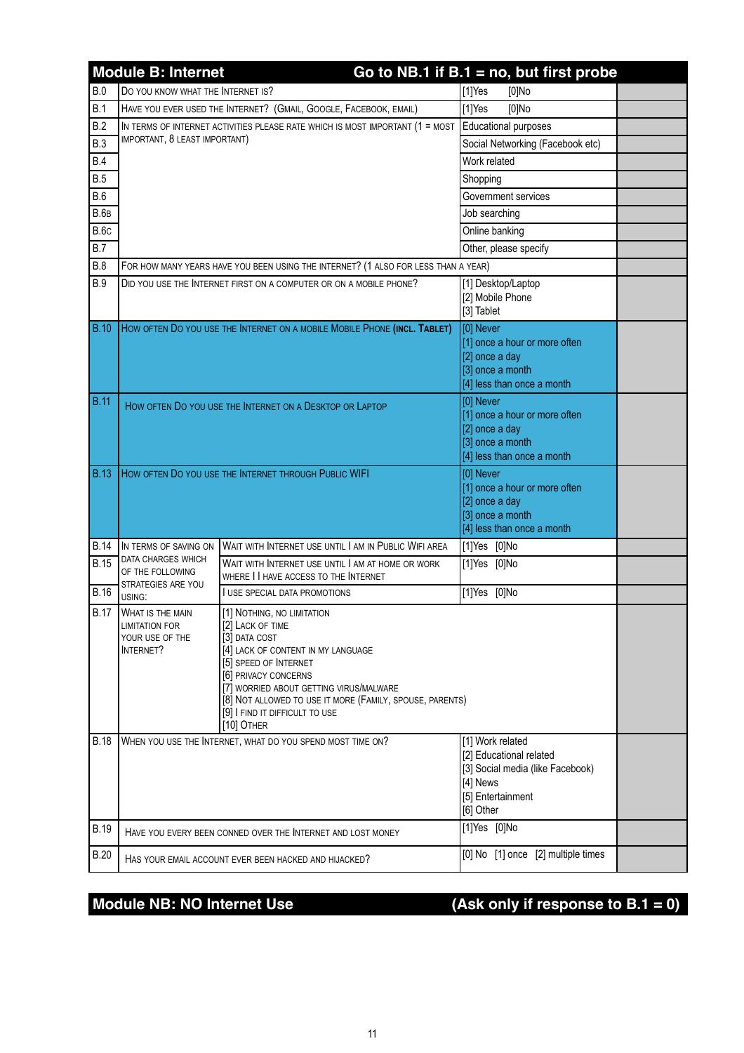|              | <b>Module B: Internet</b>                                                               |                                                                                                                                                                                                                                                                                                               | Go to NB.1 if $B.1 = no$ , but first probe                                                                                    |  |
|--------------|-----------------------------------------------------------------------------------------|---------------------------------------------------------------------------------------------------------------------------------------------------------------------------------------------------------------------------------------------------------------------------------------------------------------|-------------------------------------------------------------------------------------------------------------------------------|--|
| B.0          | DO YOU KNOW WHAT THE INTERNET IS?                                                       |                                                                                                                                                                                                                                                                                                               | $[1]$ Yes<br>[0]No                                                                                                            |  |
| B.1          |                                                                                         | HAVE YOU EVER USED THE INTERNET? (GMAIL, GOOGLE, FACEBOOK, EMAIL)                                                                                                                                                                                                                                             | $[1]$ Yes<br>$[0]$ No                                                                                                         |  |
| B.2          |                                                                                         | IN TERMS OF INTERNET ACTIVITIES PLEASE RATE WHICH IS MOST IMPORTANT (1 = MOST                                                                                                                                                                                                                                 | Educational purposes                                                                                                          |  |
| <b>B.3</b>   | IMPORTANT, 8 LEAST IMPORTANT)                                                           |                                                                                                                                                                                                                                                                                                               | Social Networking (Facebook etc)                                                                                              |  |
| <b>B.4</b>   |                                                                                         |                                                                                                                                                                                                                                                                                                               | Work related                                                                                                                  |  |
| <b>B.5</b>   |                                                                                         |                                                                                                                                                                                                                                                                                                               | Shopping                                                                                                                      |  |
| <b>B.6</b>   |                                                                                         |                                                                                                                                                                                                                                                                                                               | Government services                                                                                                           |  |
| <b>B.6</b> B |                                                                                         |                                                                                                                                                                                                                                                                                                               | Job searching                                                                                                                 |  |
| <b>B.6c</b>  |                                                                                         |                                                                                                                                                                                                                                                                                                               | Online banking                                                                                                                |  |
| B.7          |                                                                                         |                                                                                                                                                                                                                                                                                                               | Other, please specify                                                                                                         |  |
| B.8          |                                                                                         | FOR HOW MANY YEARS HAVE YOU BEEN USING THE INTERNET? (1 ALSO FOR LESS THAN A YEAR)                                                                                                                                                                                                                            |                                                                                                                               |  |
| <b>B.9</b>   |                                                                                         | DID YOU USE THE INTERNET FIRST ON A COMPUTER OR ON A MOBILE PHONE?                                                                                                                                                                                                                                            | [1] Desktop/Laptop<br>[2] Mobile Phone<br>[3] Tablet                                                                          |  |
| <b>B.10</b>  |                                                                                         | HOW OFTEN DO YOU USE THE INTERNET ON A MOBILE MOBILE PHONE (INCL. TABLET)                                                                                                                                                                                                                                     | [0] Never<br>[1] once a hour or more often<br>[2] once a day<br>[3] once a month<br>[4] less than once a month                |  |
| <b>B.11</b>  |                                                                                         | HOW OFTEN DO YOU USE THE INTERNET ON A DESKTOP OR LAPTOP                                                                                                                                                                                                                                                      | [0] Never<br>[1] once a hour or more often<br>[2] once a day<br>[3] once a month<br>[4] less than once a month                |  |
| <b>B.13</b>  | HOW OFTEN DO YOU USE THE INTERNET THROUGH PUBLIC WIFI                                   |                                                                                                                                                                                                                                                                                                               | [0] Never<br>[1] once a hour or more often<br>[2] once a day<br>[3] once a month<br>[4] less than once a month                |  |
| <b>B.14</b>  | IN TERMS OF SAVING ON                                                                   | WAIT WITH INTERNET USE UNTIL I AM IN PUBLIC WIFI AREA                                                                                                                                                                                                                                                         | [1]Yes [0]No                                                                                                                  |  |
| <b>B.15</b>  | DATA CHARGES WHICH<br>OF THE FOLLOWING<br>STRATEGIES ARE YOU                            | WAIT WITH INTERNET USE UNTIL I AM AT HOME OR WORK<br>WHERE I I HAVE ACCESS TO THE INTERNET                                                                                                                                                                                                                    | [1]Yes [0]No                                                                                                                  |  |
| <b>B.16</b>  | USING:                                                                                  | <b>I USE SPECIAL DATA PROMOTIONS</b>                                                                                                                                                                                                                                                                          | [1]Yes [0]No                                                                                                                  |  |
| <b>B.17</b>  | <b>WHAT IS THE MAIN</b><br><b>LIMITATION FOR</b><br>YOUR USE OF THE<br><b>INTERNET?</b> | [1] NOTHING, NO LIMITATION<br>[2] LACK OF TIME<br>[3] DATA COST<br>[4] LACK OF CONTENT IN MY LANGUAGE<br>[5] SPEED OF INTERNET<br>[6] PRIVACY CONCERNS<br>[7] WORRIED ABOUT GETTING VIRUS/MALWARE<br>[8] NOT ALLOWED TO USE IT MORE (FAMILY, SPOUSE, PARENTS)<br>[9] I FIND IT DIFFICULT TO USE<br>[10] OTHER |                                                                                                                               |  |
| <b>B.18</b>  |                                                                                         | WHEN YOU USE THE INTERNET, WHAT DO YOU SPEND MOST TIME ON?                                                                                                                                                                                                                                                    | [1] Work related<br>[2] Educational related<br>[3] Social media (like Facebook)<br>[4] News<br>[5] Entertainment<br>[6] Other |  |
| <b>B.19</b>  |                                                                                         | HAVE YOU EVERY BEEN CONNED OVER THE INTERNET AND LOST MONEY                                                                                                                                                                                                                                                   | [1]Yes [0]No                                                                                                                  |  |
| <b>B.20</b>  |                                                                                         | HAS YOUR EMAIL ACCOUNT EVER BEEN HACKED AND HIJACKED?                                                                                                                                                                                                                                                         | [0] No [1] once [2] multiple times                                                                                            |  |

### Module NB: NO Internet Use **(Ask only if response to B.1** = 0)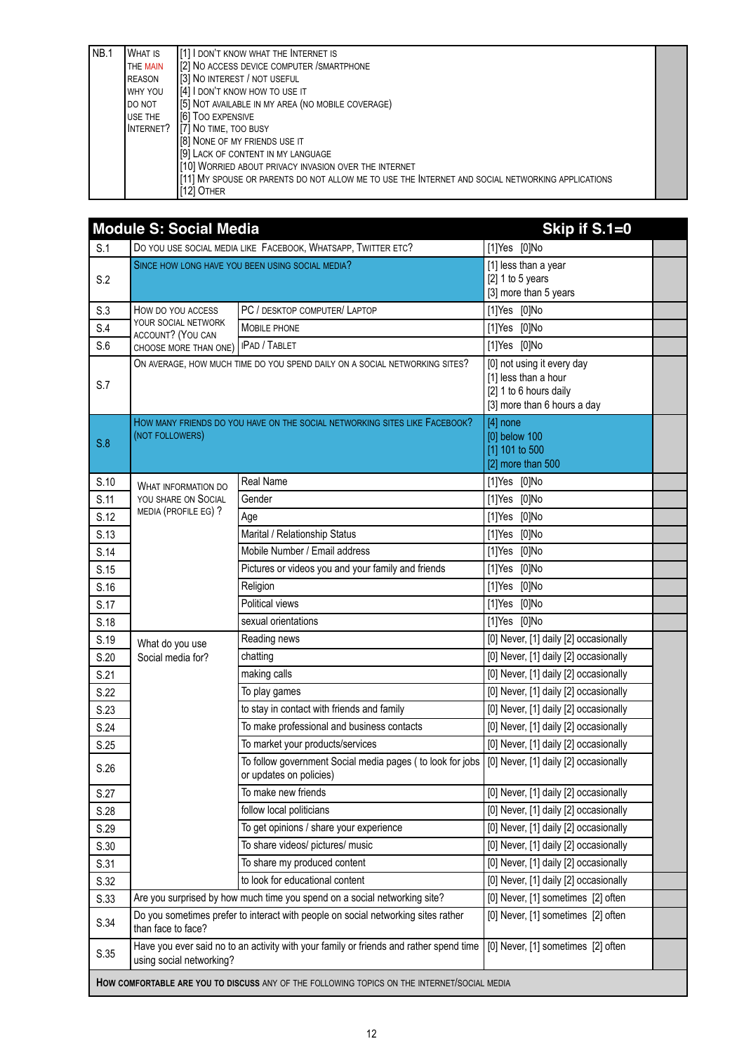| NB.1 | <b>WHAT IS</b> | [1] I DON'T KNOW WHAT THE INTERNET IS                                                            |  |
|------|----------------|--------------------------------------------------------------------------------------------------|--|
|      | THE MAIN       | [2] NO ACCESS DEVICE COMPUTER / SMARTPHONE                                                       |  |
|      | <b>REASON</b>  | [3] NO INTEREST / NOT USEFUL                                                                     |  |
|      | WHY YOU        | [4] I DON'T KNOW HOW TO USE IT                                                                   |  |
|      | DO NOT         | [5] NOT AVAILABLE IN MY AREA (NO MOBILE COVERAGE)                                                |  |
|      | USE THE        | [6] TOO EXPENSIVE                                                                                |  |
|      | INTERNET?      | [7] NO TIME, TOO BUSY                                                                            |  |
|      |                | [8] NONE OF MY FRIENDS USE IT                                                                    |  |
|      |                | [9] LACK OF CONTENT IN MY LANGUAGE                                                               |  |
|      |                | [10] WORRIED ABOUT PRIVACY INVASION OVER THE INTERNET                                            |  |
|      |                | [11] MY SPOUSE OR PARENTS DO NOT ALLOW ME TO USE THE INTERNET AND SOCIAL NETWORKING APPLICATIONS |  |
|      |                | [12] OTHER                                                                                       |  |

|      | <b>Module S: Social Media</b>                    |                                                                                        | Skip if S.1=0                                                                                               |
|------|--------------------------------------------------|----------------------------------------------------------------------------------------|-------------------------------------------------------------------------------------------------------------|
| S.1  |                                                  | DO YOU USE SOCIAL MEDIA LIKE FACEBOOK, WHATSAPP, TWITTER ETC?                          | [1]Yes [0]No                                                                                                |
| S.2  | SINCE HOW LONG HAVE YOU BEEN USING SOCIAL MEDIA? |                                                                                        | [1] less than a year<br>[2] $1$ to 5 years<br>[3] more than 5 years                                         |
| S.3  | HOW DO YOU ACCESS                                | PC / DESKTOP COMPUTER/ LAPTOP                                                          | [1]Yes [0]No                                                                                                |
| S.4  | YOUR SOCIAL NETWORK<br>ACCOUNT? (YOU CAN         | <b>MOBILE PHONE</b>                                                                    | [1]Yes [0]No                                                                                                |
| S.6  | CHOOSE MORE THAN ONE)                            | <b>IPAD / TABLET</b>                                                                   | $[1]$ Yes $[0]$ No                                                                                          |
| S.7  |                                                  | ON AVERAGE, HOW MUCH TIME DO YOU SPEND DAILY ON A SOCIAL NETWORKING SITES?             | [0] not using it every day<br>[1] less than a hour<br>[2] 1 to 6 hours daily<br>[3] more than 6 hours a day |
| S.8  | (NOT FOLLOWERS)                                  | HOW MANY FRIENDS DO YOU HAVE ON THE SOCIAL NETWORKING SITES LIKE FACEBOOK?             | $[4]$ none<br>[0] below 100<br>[1] 101 to 500<br>[2] more than 500                                          |
| S.10 | WHAT INFORMATION DO                              | <b>Real Name</b>                                                                       | [1]Yes [0]No                                                                                                |
| S.11 | YOU SHARE ON SOCIAL                              | Gender                                                                                 | [1]Yes [0]No                                                                                                |
| S.12 | MEDIA (PROFILE EG) ?                             | Age                                                                                    | [1]Yes [0]No                                                                                                |
| S.13 |                                                  | Marital / Relationship Status                                                          | [1]Yes [0]No                                                                                                |
| S.14 |                                                  | Mobile Number / Email address                                                          | [1]Yes [0]No                                                                                                |
| S.15 |                                                  | Pictures or videos you and your family and friends                                     | [1]Yes [0]No                                                                                                |
| S.16 |                                                  | Religion                                                                               | [1]Yes [0]No                                                                                                |
| S.17 |                                                  | Political views                                                                        | [1]Yes [0]No                                                                                                |
| S.18 |                                                  | sexual orientations                                                                    | [1]Yes [0]No                                                                                                |
| S.19 | What do you use                                  | Reading news                                                                           | [0] Never, [1] daily [2] occasionally                                                                       |
| S.20 | Social media for?                                | chatting                                                                               | [0] Never, [1] daily [2] occasionally                                                                       |
| S.21 |                                                  | making calls                                                                           | [0] Never, [1] daily [2] occasionally                                                                       |
| S.22 |                                                  | To play games                                                                          | [0] Never, [1] daily [2] occasionally                                                                       |
| S.23 |                                                  | to stay in contact with friends and family                                             | [0] Never, [1] daily [2] occasionally                                                                       |
| S.24 |                                                  | To make professional and business contacts                                             | [0] Never, [1] daily [2] occasionally                                                                       |
| S.25 |                                                  | To market your products/services                                                       | [0] Never, [1] daily [2] occasionally                                                                       |
| S.26 |                                                  | To follow government Social media pages ( to look for jobs<br>or updates on policies)  | [0] Never, [1] daily [2] occasionally                                                                       |
| S.27 |                                                  | To make new friends                                                                    | [0] Never, [1] daily [2] occasionally                                                                       |
| S.28 |                                                  | follow local politicians                                                               | [0] Never, [1] daily [2] occasionally                                                                       |
| S.29 |                                                  | To get opinions / share your experience                                                | [0] Never, [1] daily [2] occasionally                                                                       |
| S.30 |                                                  | To share videos/ pictures/ music                                                       | [0] Never, [1] daily [2] occasionally                                                                       |
| S.31 |                                                  | To share my produced content                                                           | [0] Never, [1] daily [2] occasionally                                                                       |
| S.32 |                                                  | to look for educational content                                                        | [0] Never, [1] daily [2] occasionally                                                                       |
| S.33 |                                                  | Are you surprised by how much time you spend on a social networking site?              | [0] Never, [1] sometimes [2] often                                                                          |
| S.34 | than face to face?                               | Do you sometimes prefer to interact with people on social networking sites rather      | [0] Never, [1] sometimes [2] often                                                                          |
| S.35 | using social networking?                         | Have you ever said no to an activity with your family or friends and rather spend time | [0] Never, [1] sometimes [2] often                                                                          |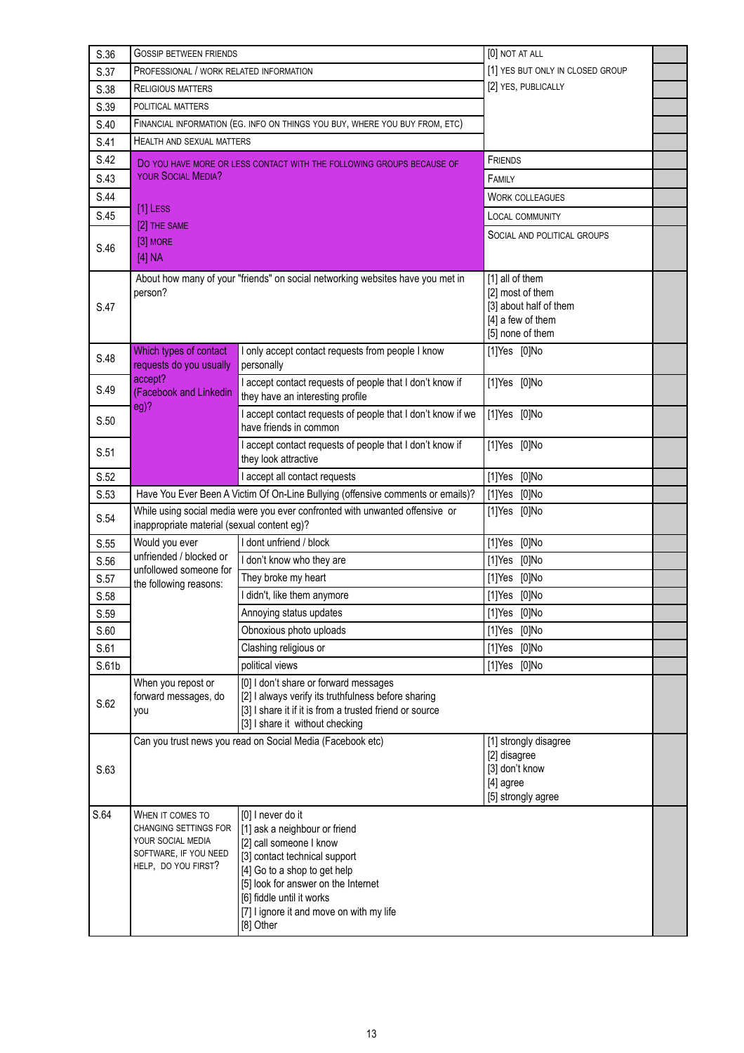| S.36  | <b>GOSSIP BETWEEN FRIENDS</b>                                                                                         |                                                                                                                                                                                                                                                                             | [0] NOT AT ALL                                                                                         |  |
|-------|-----------------------------------------------------------------------------------------------------------------------|-----------------------------------------------------------------------------------------------------------------------------------------------------------------------------------------------------------------------------------------------------------------------------|--------------------------------------------------------------------------------------------------------|--|
| S.37  | PROFESSIONAL / WORK RELATED INFORMATION                                                                               |                                                                                                                                                                                                                                                                             | [1] YES BUT ONLY IN CLOSED GROUP                                                                       |  |
| S.38  | <b>RELIGIOUS MATTERS</b>                                                                                              |                                                                                                                                                                                                                                                                             | [2] YES, PUBLICALLY                                                                                    |  |
| S.39  | POLITICAL MATTERS                                                                                                     |                                                                                                                                                                                                                                                                             |                                                                                                        |  |
| S.40  |                                                                                                                       | FINANCIAL INFORMATION (EG. INFO ON THINGS YOU BUY, WHERE YOU BUY FROM, ETC)                                                                                                                                                                                                 |                                                                                                        |  |
| S.41  | <b>HEALTH AND SEXUAL MATTERS</b>                                                                                      |                                                                                                                                                                                                                                                                             |                                                                                                        |  |
| S.42  |                                                                                                                       | DO YOU HAVE MORE OR LESS CONTACT WITH THE FOLLOWING GROUPS BECAUSE OF                                                                                                                                                                                                       | <b>FRIENDS</b>                                                                                         |  |
| S.43  | <b>YOUR SOCIAL MEDIA?</b>                                                                                             |                                                                                                                                                                                                                                                                             | FAMILY                                                                                                 |  |
| S.44  |                                                                                                                       |                                                                                                                                                                                                                                                                             | <b>WORK COLLEAGUES</b>                                                                                 |  |
| S.45  | [1] LESS                                                                                                              |                                                                                                                                                                                                                                                                             | <b>LOCAL COMMUNITY</b>                                                                                 |  |
|       | [2] THE SAME                                                                                                          |                                                                                                                                                                                                                                                                             | SOCIAL AND POLITICAL GROUPS                                                                            |  |
| S.46  | [3] MORE<br>[4] NA                                                                                                    |                                                                                                                                                                                                                                                                             |                                                                                                        |  |
| S.47  | person?                                                                                                               | About how many of your "friends" on social networking websites have you met in                                                                                                                                                                                              | [1] all of them<br>[2] most of them<br>[3] about half of them<br>[4] a few of them<br>[5] none of them |  |
| S.48  | Which types of contact<br>requests do you usually                                                                     | I only accept contact requests from people I know<br>personally                                                                                                                                                                                                             | $[1]$ Yes $[0]$ No                                                                                     |  |
| S.49  | accept?<br>(Facebook and Linkedin<br>eg)?                                                                             | I accept contact requests of people that I don't know if<br>they have an interesting profile                                                                                                                                                                                | $[1]$ Yes $[0]$ No                                                                                     |  |
| S.50  |                                                                                                                       | I accept contact requests of people that I don't know if we<br>have friends in common                                                                                                                                                                                       | [1]Yes [0]No                                                                                           |  |
| S.51  |                                                                                                                       | I accept contact requests of people that I don't know if<br>they look attractive                                                                                                                                                                                            | [1]Yes [0]No                                                                                           |  |
| S.52  |                                                                                                                       | I accept all contact requests                                                                                                                                                                                                                                               | [1]Yes [0]No                                                                                           |  |
| S.53  |                                                                                                                       | Have You Ever Been A Victim Of On-Line Bullying (offensive comments or emails)?                                                                                                                                                                                             | [1]Yes [0]No                                                                                           |  |
| S.54  | inappropriate material (sexual content eg)?                                                                           | While using social media were you ever confronted with unwanted offensive or                                                                                                                                                                                                | [1]Yes [0]No                                                                                           |  |
| S.55  | Would you ever                                                                                                        | I dont unfriend / block                                                                                                                                                                                                                                                     | [1]Yes [0]No                                                                                           |  |
| S.56  | unfriended / blocked or<br>unfollowed someone for                                                                     | I don't know who they are                                                                                                                                                                                                                                                   | [1]Yes [0]No                                                                                           |  |
| S.57  | the following reasons:                                                                                                | They broke my heart                                                                                                                                                                                                                                                         | [1]Yes [0]No                                                                                           |  |
| S.58  |                                                                                                                       | I didn't, like them anymore                                                                                                                                                                                                                                                 | [1]Yes [0]No                                                                                           |  |
| S.59  |                                                                                                                       | Annoying status updates                                                                                                                                                                                                                                                     | [1]Yes [0]No                                                                                           |  |
| S.60  |                                                                                                                       | Obnoxious photo uploads                                                                                                                                                                                                                                                     | [1]Yes [0]No                                                                                           |  |
| S.61  |                                                                                                                       | Clashing religious or                                                                                                                                                                                                                                                       | $[1]$ Yes $[0]$ No                                                                                     |  |
| S.61b |                                                                                                                       | political views                                                                                                                                                                                                                                                             | [1]Yes [0]No                                                                                           |  |
| S.62  | When you repost or<br>forward messages, do<br>you                                                                     | [0] I don't share or forward messages<br>[2] I always verify its truthfulness before sharing<br>[3] I share it if it is from a trusted friend or source<br>[3] I share it without checking                                                                                  |                                                                                                        |  |
|       |                                                                                                                       | Can you trust news you read on Social Media (Facebook etc)                                                                                                                                                                                                                  | [1] strongly disagree                                                                                  |  |
| S.63  |                                                                                                                       |                                                                                                                                                                                                                                                                             | [2] disagree<br>[3] don't know<br>[4] agree<br>[5] strongly agree                                      |  |
| S.64  | WHEN IT COMES TO<br><b>CHANGING SETTINGS FOR</b><br>YOUR SOCIAL MEDIA<br>SOFTWARE, IF YOU NEED<br>HELP, DO YOU FIRST? | [0] I never do it<br>[1] ask a neighbour or friend<br>[2] call someone I know<br>[3] contact technical support<br>[4] Go to a shop to get help<br>[5] look for answer on the Internet<br>[6] fiddle until it works<br>[7] I ignore it and move on with my life<br>[8] Other |                                                                                                        |  |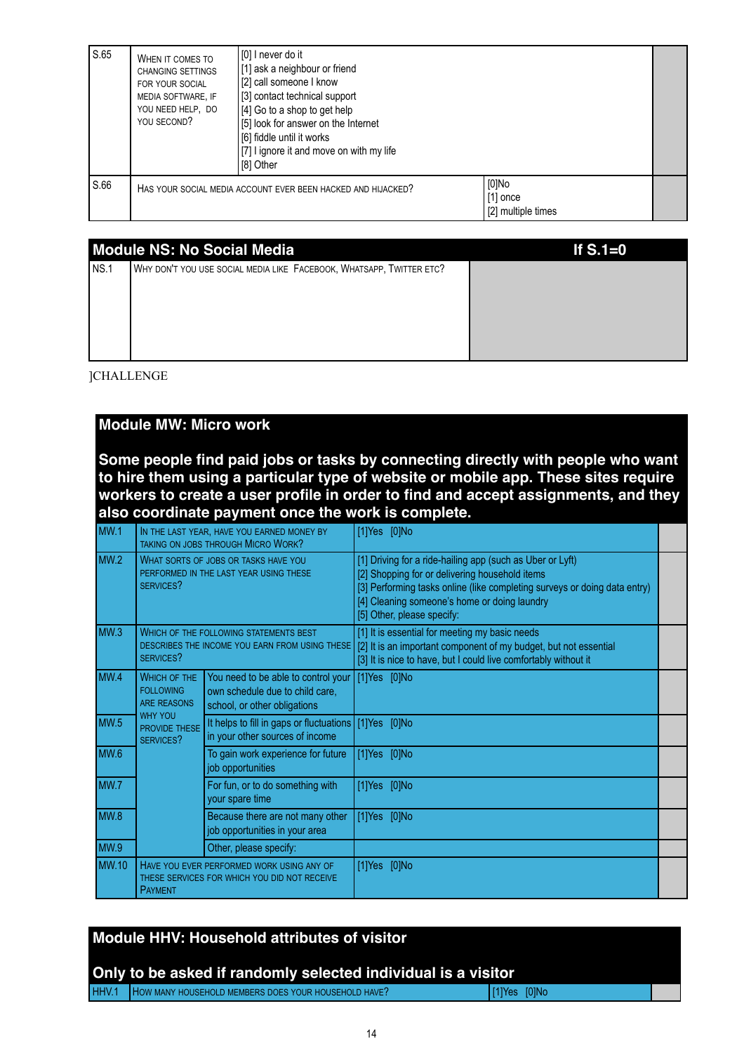| S.65 | WHEN IT COMES TO<br><b>CHANGING SETTINGS</b><br>FOR YOUR SOCIAL<br>MEDIA SOFTWARE, IF<br>YOU NEED HELP, DO<br>YOU SECOND? | [0] I never do it<br>[1] ask a neighbour or friend<br>[2] call someone I know<br>[3] contact technical support<br>[4] Go to a shop to get help<br>[5] look for answer on the Internet<br>[6] fiddle until it works<br>[7] I ignore it and move on with my life<br>[8] Other |                                           |  |
|------|---------------------------------------------------------------------------------------------------------------------------|-----------------------------------------------------------------------------------------------------------------------------------------------------------------------------------------------------------------------------------------------------------------------------|-------------------------------------------|--|
| S.66 |                                                                                                                           | HAS YOUR SOCIAL MEDIA ACCOUNT EVER BEEN HACKED AND HIJACKED?                                                                                                                                                                                                                | [0]No<br>  [1] once<br>[2] multiple times |  |

|      | <b>Module NS: No Social Media</b>                                    | If $S.1=0$ |
|------|----------------------------------------------------------------------|------------|
| NS.1 | WHY DON'T YOU USE SOCIAL MEDIA LIKE FACEBOOK, WHATSAPP, TWITTER ETC? |            |
|      |                                                                      |            |
|      |                                                                      |            |
|      |                                                                      |            |
|      |                                                                      |            |

]CHALLENGE

### **Module MW: Micro work**

**Some people find paid jobs or tasks by connecting directly with people who want to hire them using a particular type of website or mobile app. These sites require workers to create a user profile in order to find and accept assignments, and they also coordinate payment once the work is complete.**

| MW.1             |                                                                                             | IN THE LAST YEAR, HAVE YOU EARNED MONEY BY<br><b>TAKING ON JOBS THROUGH MICRO WORK?</b>                | [1]Yes [0]No                                                                                                                                                                                                                                                           |  |
|------------------|---------------------------------------------------------------------------------------------|--------------------------------------------------------------------------------------------------------|------------------------------------------------------------------------------------------------------------------------------------------------------------------------------------------------------------------------------------------------------------------------|--|
| MW <sub>.2</sub> | WHAT SORTS OF JOBS OR TASKS HAVE YOU<br>PERFORMED IN THE LAST YEAR USING THESE<br>SERVICES? |                                                                                                        | [1] Driving for a ride-hailing app (such as Uber or Lyft)<br>[2] Shopping for or delivering household items<br>[3] Performing tasks online (like completing surveys or doing data entry)<br>[4] Cleaning someone's home or doing laundry<br>[5] Other, please specify: |  |
| MW <sub>3</sub>  | SERVICES?                                                                                   | <b>WHICH OF THE FOLLOWING STATEMENTS BEST</b><br>DESCRIBES THE INCOME YOU EARN FROM USING THESE        | [1] It is essential for meeting my basic needs<br>[2] It is an important component of my budget, but not essential<br>[3] It is nice to have, but I could live comfortably without it                                                                                  |  |
| MW.4             | <b>WHICH OF THE</b><br><b>FOLLOWING</b><br><b>ARE REASONS</b>                               | You need to be able to control your<br>own schedule due to child care,<br>school, or other obligations | $[1]Yes$ $[0]No$                                                                                                                                                                                                                                                       |  |
| <b>MW.5</b>      | <b>WHY YOU</b><br>PROVIDE THESE<br>SERVICES?                                                | It helps to fill in gaps or fluctuations $[1]$ Yes $[0]$ No<br>in your other sources of income         |                                                                                                                                                                                                                                                                        |  |
| MW.6             |                                                                                             | To gain work experience for future<br>job opportunities                                                | $[1]Yes$ $[0]No$                                                                                                                                                                                                                                                       |  |
| MW.7             |                                                                                             | For fun, or to do something with<br>your spare time                                                    | [1]Yes [0]No                                                                                                                                                                                                                                                           |  |
| MW.8             |                                                                                             | Because there are not many other<br>job opportunities in your area                                     | $[1]$ Yes $[0]$ No                                                                                                                                                                                                                                                     |  |
| MW.9             |                                                                                             | Other, please specify:                                                                                 |                                                                                                                                                                                                                                                                        |  |
| <b>MW.10</b>     | <b>PAYMENT</b>                                                                              | HAVE YOU EVER PERFORMED WORK USING ANY OF<br>THESE SERVICES FOR WHICH YOU DID NOT RECEIVE              | $[1]$ Yes $[0]$ No                                                                                                                                                                                                                                                     |  |

| <b>Module HHV: Household attributes of visitor</b><br>Only to be asked if randomly selected individual is a visitor |                     |  |
|---------------------------------------------------------------------------------------------------------------------|---------------------|--|
| HHV.1 How MANY HOUSEHOLD MEMBERS DOES YOUR HOUSEHOLD HAVE?                                                          | $ 11 $ Yes $ 0 $ No |  |